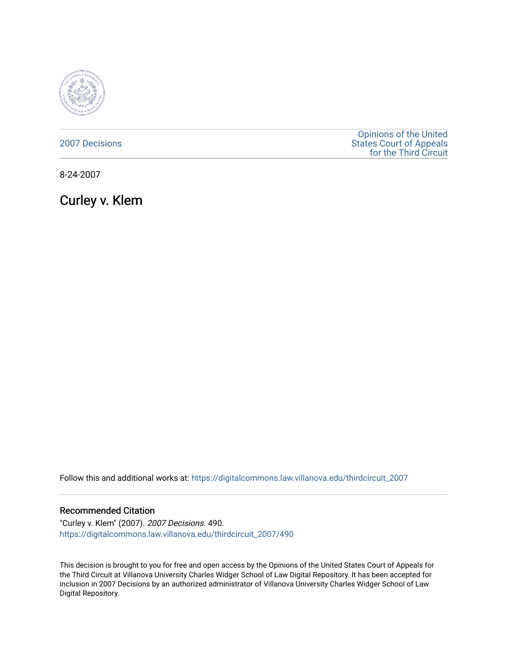

[2007 Decisions](https://digitalcommons.law.villanova.edu/thirdcircuit_2007)

[Opinions of the United](https://digitalcommons.law.villanova.edu/thirdcircuit)  [States Court of Appeals](https://digitalcommons.law.villanova.edu/thirdcircuit)  [for the Third Circuit](https://digitalcommons.law.villanova.edu/thirdcircuit) 

8-24-2007

Curley v. Klem

Follow this and additional works at: [https://digitalcommons.law.villanova.edu/thirdcircuit\\_2007](https://digitalcommons.law.villanova.edu/thirdcircuit_2007?utm_source=digitalcommons.law.villanova.edu%2Fthirdcircuit_2007%2F490&utm_medium=PDF&utm_campaign=PDFCoverPages) 

### Recommended Citation

"Curley v. Klem" (2007). 2007 Decisions. 490. [https://digitalcommons.law.villanova.edu/thirdcircuit\\_2007/490](https://digitalcommons.law.villanova.edu/thirdcircuit_2007/490?utm_source=digitalcommons.law.villanova.edu%2Fthirdcircuit_2007%2F490&utm_medium=PDF&utm_campaign=PDFCoverPages)

This decision is brought to you for free and open access by the Opinions of the United States Court of Appeals for the Third Circuit at Villanova University Charles Widger School of Law Digital Repository. It has been accepted for inclusion in 2007 Decisions by an authorized administrator of Villanova University Charles Widger School of Law Digital Repository.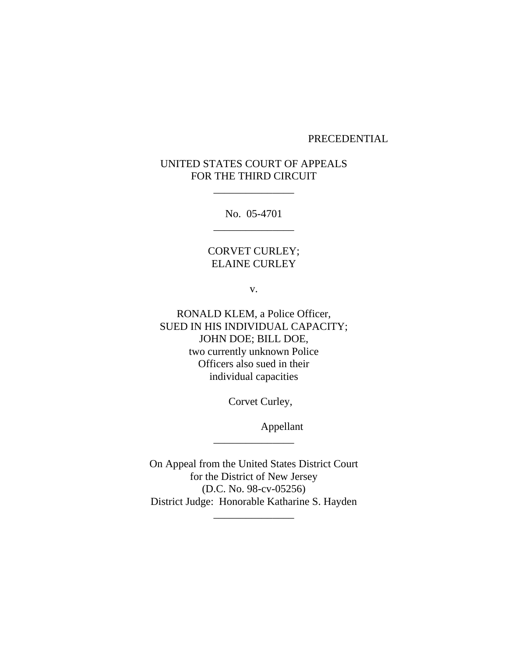### PRECEDENTIAL

## UNITED STATES COURT OF APPEALS FOR THE THIRD CIRCUIT

\_\_\_\_\_\_\_\_\_\_\_\_\_\_\_

No. 05-4701 \_\_\_\_\_\_\_\_\_\_\_\_\_\_\_

## CORVET CURLEY; ELAINE CURLEY

v.

RONALD KLEM, a Police Officer, SUED IN HIS INDIVIDUAL CAPACITY; JOHN DOE; BILL DOE, two currently unknown Police Officers also sued in their individual capacities

Corvet Curley,

Appellant

On Appeal from the United States District Court for the District of New Jersey (D.C. No. 98-cv-05256) District Judge: Honorable Katharine S. Hayden \_\_\_\_\_\_\_\_\_\_\_\_\_\_\_

\_\_\_\_\_\_\_\_\_\_\_\_\_\_\_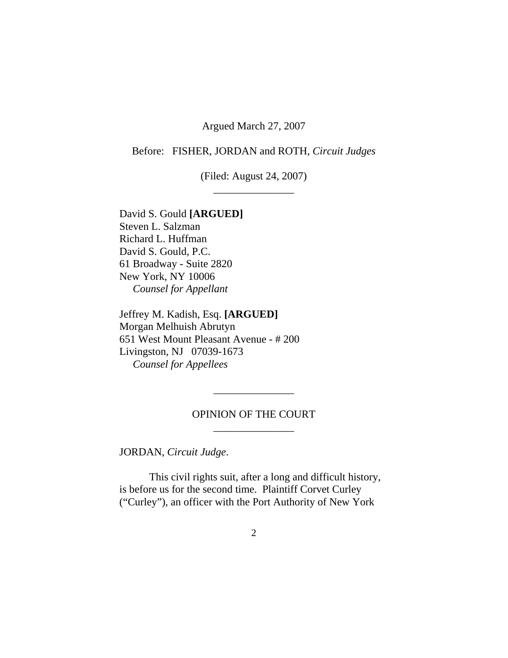Argued March 27, 2007

Before: FISHER, JORDAN and ROTH, *Circuit Judges*

(Filed: August 24, 2007) \_\_\_\_\_\_\_\_\_\_\_\_\_\_\_

David S. Gould **[ARGUED]** Steven L. Salzman Richard L. Huffman David S. Gould, P.C. 61 Broadway - Suite 2820 New York, NY 10006 *Counsel for Appellant*

Jeffrey M. Kadish, Esq. **[ARGUED]** Morgan Melhuish Abrutyn 651 West Mount Pleasant Avenue - # 200 Livingston, NJ 07039-1673 *Counsel for Appellees*

## OPINION OF THE COURT \_\_\_\_\_\_\_\_\_\_\_\_\_\_\_

\_\_\_\_\_\_\_\_\_\_\_\_\_\_\_

JORDAN, *Circuit Judge*.

This civil rights suit, after a long and difficult history, is before us for the second time. Plaintiff Corvet Curley ("Curley"), an officer with the Port Authority of New York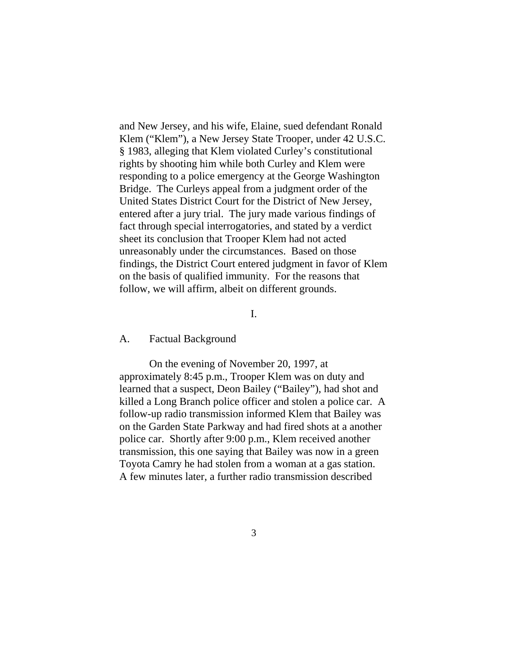and New Jersey, and his wife, Elaine, sued defendant Ronald Klem ("Klem"), a New Jersey State Trooper, under 42 U.S.C. § 1983, alleging that Klem violated Curley's constitutional rights by shooting him while both Curley and Klem were responding to a police emergency at the George Washington Bridge. The Curleys appeal from a judgment order of the United States District Court for the District of New Jersey, entered after a jury trial. The jury made various findings of fact through special interrogatories, and stated by a verdict sheet its conclusion that Trooper Klem had not acted unreasonably under the circumstances. Based on those findings, the District Court entered judgment in favor of Klem on the basis of qualified immunity. For the reasons that follow, we will affirm, albeit on different grounds.

I.

#### A. Factual Background

On the evening of November 20, 1997, at approximately 8:45 p.m., Trooper Klem was on duty and learned that a suspect, Deon Bailey ("Bailey"), had shot and killed a Long Branch police officer and stolen a police car. A follow-up radio transmission informed Klem that Bailey was on the Garden State Parkway and had fired shots at a another police car. Shortly after 9:00 p.m., Klem received another transmission, this one saying that Bailey was now in a green Toyota Camry he had stolen from a woman at a gas station. A few minutes later, a further radio transmission described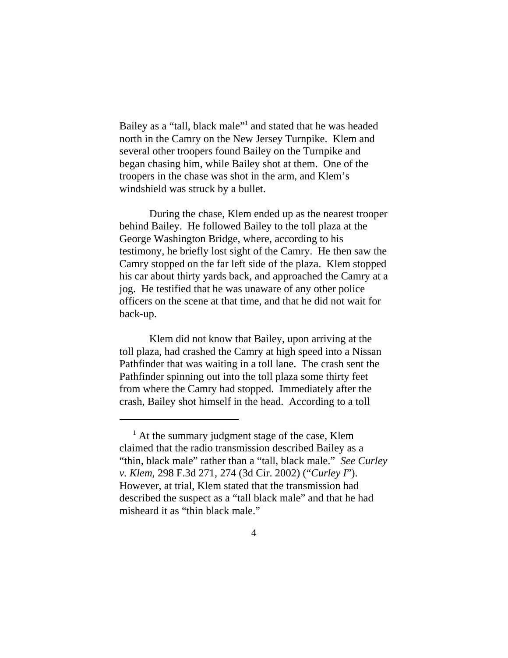Bailey as a "tall, black male"<sup>1</sup> and stated that he was headed north in the Camry on the New Jersey Turnpike. Klem and several other troopers found Bailey on the Turnpike and began chasing him, while Bailey shot at them. One of the troopers in the chase was shot in the arm, and Klem's windshield was struck by a bullet.

During the chase, Klem ended up as the nearest trooper behind Bailey. He followed Bailey to the toll plaza at the George Washington Bridge, where, according to his testimony, he briefly lost sight of the Camry. He then saw the Camry stopped on the far left side of the plaza. Klem stopped his car about thirty yards back, and approached the Camry at a jog. He testified that he was unaware of any other police officers on the scene at that time, and that he did not wait for back-up.

Klem did not know that Bailey, upon arriving at the toll plaza, had crashed the Camry at high speed into a Nissan Pathfinder that was waiting in a toll lane. The crash sent the Pathfinder spinning out into the toll plaza some thirty feet from where the Camry had stopped. Immediately after the crash, Bailey shot himself in the head. According to a toll

<sup>&</sup>lt;sup>1</sup> At the summary judgment stage of the case, Klem claimed that the radio transmission described Bailey as a "thin, black male" rather than a "tall, black male." *See Curley v. Klem*, 298 F.3d 271, 274 (3d Cir. 2002) ("*Curley I*"). However, at trial, Klem stated that the transmission had described the suspect as a "tall black male" and that he had misheard it as "thin black male."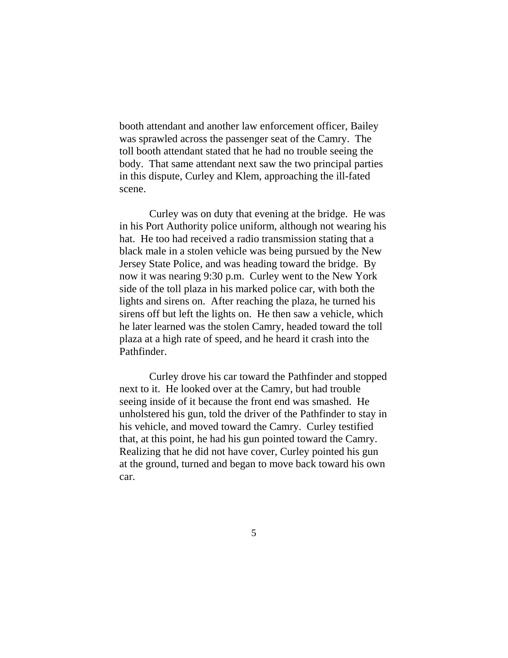booth attendant and another law enforcement officer, Bailey was sprawled across the passenger seat of the Camry. The toll booth attendant stated that he had no trouble seeing the body. That same attendant next saw the two principal parties in this dispute, Curley and Klem, approaching the ill-fated scene.

Curley was on duty that evening at the bridge. He was in his Port Authority police uniform, although not wearing his hat. He too had received a radio transmission stating that a black male in a stolen vehicle was being pursued by the New Jersey State Police, and was heading toward the bridge. By now it was nearing 9:30 p.m. Curley went to the New York side of the toll plaza in his marked police car, with both the lights and sirens on. After reaching the plaza, he turned his sirens off but left the lights on. He then saw a vehicle, which he later learned was the stolen Camry, headed toward the toll plaza at a high rate of speed, and he heard it crash into the Pathfinder.

Curley drove his car toward the Pathfinder and stopped next to it. He looked over at the Camry, but had trouble seeing inside of it because the front end was smashed. He unholstered his gun, told the driver of the Pathfinder to stay in his vehicle, and moved toward the Camry. Curley testified that, at this point, he had his gun pointed toward the Camry. Realizing that he did not have cover, Curley pointed his gun at the ground, turned and began to move back toward his own car.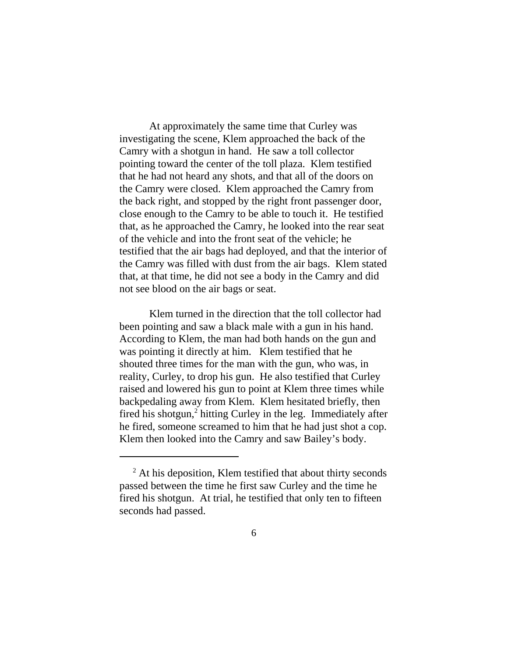At approximately the same time that Curley was investigating the scene, Klem approached the back of the Camry with a shotgun in hand. He saw a toll collector pointing toward the center of the toll plaza. Klem testified that he had not heard any shots, and that all of the doors on the Camry were closed. Klem approached the Camry from the back right, and stopped by the right front passenger door, close enough to the Camry to be able to touch it. He testified that, as he approached the Camry, he looked into the rear seat of the vehicle and into the front seat of the vehicle; he testified that the air bags had deployed, and that the interior of the Camry was filled with dust from the air bags. Klem stated that, at that time, he did not see a body in the Camry and did not see blood on the air bags or seat.

Klem turned in the direction that the toll collector had been pointing and saw a black male with a gun in his hand. According to Klem, the man had both hands on the gun and was pointing it directly at him. Klem testified that he shouted three times for the man with the gun, who was, in reality, Curley, to drop his gun. He also testified that Curley raised and lowered his gun to point at Klem three times while backpedaling away from Klem. Klem hesitated briefly, then fired his shotgun,<sup>2</sup> hitting Curley in the leg. Immediately after he fired, someone screamed to him that he had just shot a cop. Klem then looked into the Camry and saw Bailey's body.

<sup>&</sup>lt;sup>2</sup> At his deposition, Klem testified that about thirty seconds passed between the time he first saw Curley and the time he fired his shotgun. At trial, he testified that only ten to fifteen seconds had passed.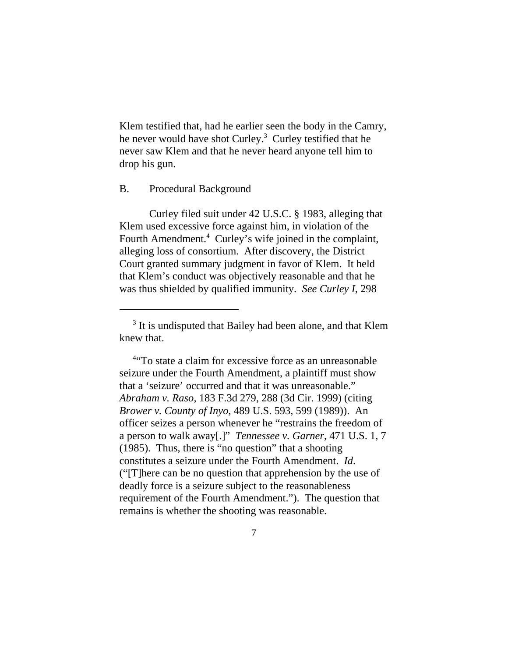Klem testified that, had he earlier seen the body in the Camry, he never would have shot Curley.<sup>3</sup> Curley testified that he never saw Klem and that he never heard anyone tell him to drop his gun.

### B. Procedural Background

Curley filed suit under 42 U.S.C. § 1983, alleging that Klem used excessive force against him, in violation of the Fourth Amendment.<sup>4</sup> Curley's wife joined in the complaint, alleging loss of consortium. After discovery, the District Court granted summary judgment in favor of Klem. It held that Klem's conduct was objectively reasonable and that he was thus shielded by qualified immunity. *See Curley I*, 298

 4 "To state a claim for excessive force as an unreasonable seizure under the Fourth Amendment, a plaintiff must show that a 'seizure' occurred and that it was unreasonable." *Abraham v. Raso*, 183 F.3d 279, 288 (3d Cir. 1999) (citing *Brower v. County of Inyo*, 489 U.S. 593, 599 (1989)). An officer seizes a person whenever he "restrains the freedom of a person to walk away[.]" *Tennessee v. Garner*, 471 U.S. 1, 7 (1985). Thus, there is "no question" that a shooting constitutes a seizure under the Fourth Amendment. *Id*. ("[T]here can be no question that apprehension by the use of deadly force is a seizure subject to the reasonableness requirement of the Fourth Amendment."). The question that remains is whether the shooting was reasonable.

<sup>&</sup>lt;sup>3</sup> It is undisputed that Bailey had been alone, and that Klem knew that.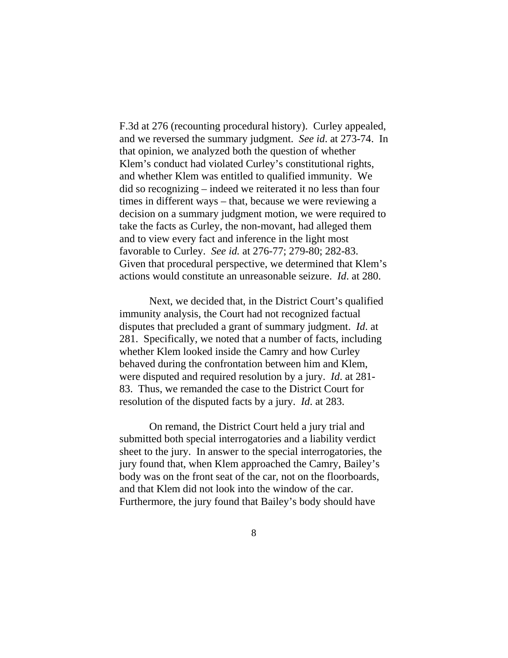F.3d at 276 (recounting procedural history). Curley appealed, and we reversed the summary judgment. *See id*. at 273-74. In that opinion, we analyzed both the question of whether Klem's conduct had violated Curley's constitutional rights, and whether Klem was entitled to qualified immunity. We did so recognizing – indeed we reiterated it no less than four times in different ways – that, because we were reviewing a decision on a summary judgment motion, we were required to take the facts as Curley, the non-movant, had alleged them and to view every fact and inference in the light most favorable to Curley. *See id.* at 276-77; 279-80; 282-83. Given that procedural perspective, we determined that Klem's actions would constitute an unreasonable seizure. *Id*. at 280.

Next, we decided that, in the District Court's qualified immunity analysis, the Court had not recognized factual disputes that precluded a grant of summary judgment. *Id*. at 281. Specifically, we noted that a number of facts, including whether Klem looked inside the Camry and how Curley behaved during the confrontation between him and Klem, were disputed and required resolution by a jury. *Id*. at 281- 83. Thus, we remanded the case to the District Court for resolution of the disputed facts by a jury. *Id*. at 283.

On remand, the District Court held a jury trial and submitted both special interrogatories and a liability verdict sheet to the jury. In answer to the special interrogatories, the jury found that, when Klem approached the Camry, Bailey's body was on the front seat of the car, not on the floorboards, and that Klem did not look into the window of the car. Furthermore, the jury found that Bailey's body should have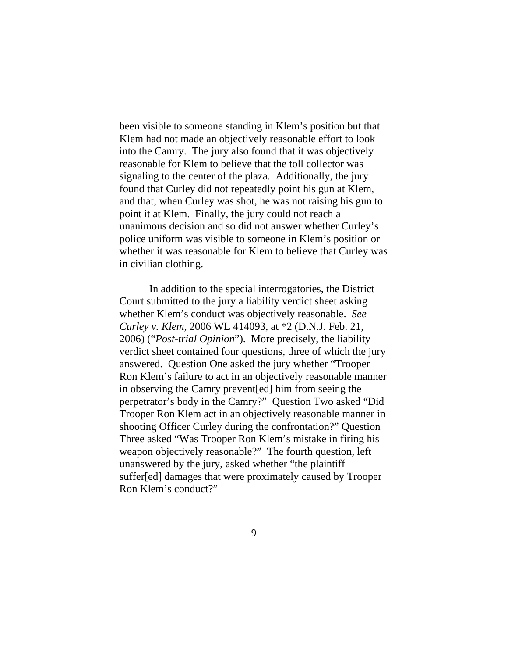been visible to someone standing in Klem's position but that Klem had not made an objectively reasonable effort to look into the Camry. The jury also found that it was objectively reasonable for Klem to believe that the toll collector was signaling to the center of the plaza. Additionally, the jury found that Curley did not repeatedly point his gun at Klem, and that, when Curley was shot, he was not raising his gun to point it at Klem. Finally, the jury could not reach a unanimous decision and so did not answer whether Curley's police uniform was visible to someone in Klem's position or whether it was reasonable for Klem to believe that Curley was in civilian clothing.

In addition to the special interrogatories, the District Court submitted to the jury a liability verdict sheet asking whether Klem's conduct was objectively reasonable. *See Curley v. Klem*, 2006 WL 414093, at \*2 (D.N.J. Feb. 21, 2006) ("*Post-trial Opinion*"). More precisely, the liability verdict sheet contained four questions, three of which the jury answered. Question One asked the jury whether "Trooper Ron Klem's failure to act in an objectively reasonable manner in observing the Camry prevent[ed] him from seeing the perpetrator's body in the Camry?" Question Two asked "Did Trooper Ron Klem act in an objectively reasonable manner in shooting Officer Curley during the confrontation?" Question Three asked "Was Trooper Ron Klem's mistake in firing his weapon objectively reasonable?" The fourth question, left unanswered by the jury, asked whether "the plaintiff suffer[ed] damages that were proximately caused by Trooper Ron Klem's conduct?"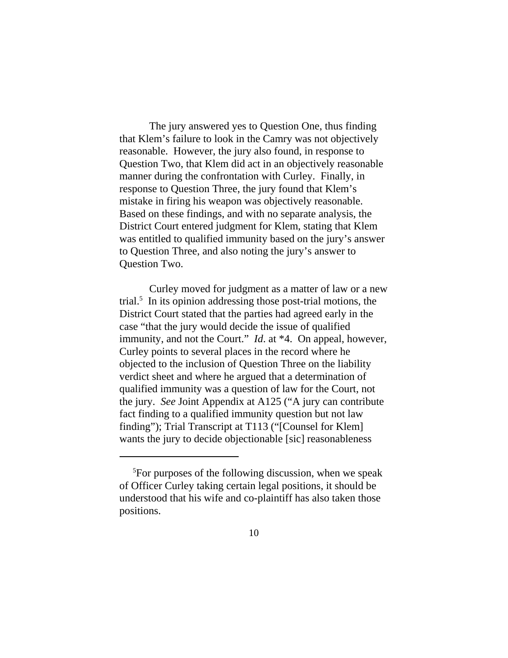The jury answered yes to Question One, thus finding that Klem's failure to look in the Camry was not objectively reasonable. However, the jury also found, in response to Question Two, that Klem did act in an objectively reasonable manner during the confrontation with Curley. Finally, in response to Question Three, the jury found that Klem's mistake in firing his weapon was objectively reasonable. Based on these findings, and with no separate analysis, the District Court entered judgment for Klem, stating that Klem was entitled to qualified immunity based on the jury's answer to Question Three, and also noting the jury's answer to Question Two.

Curley moved for judgment as a matter of law or a new trial.<sup>5</sup> In its opinion addressing those post-trial motions, the District Court stated that the parties had agreed early in the case "that the jury would decide the issue of qualified immunity, and not the Court." *Id*. at \*4. On appeal, however, Curley points to several places in the record where he objected to the inclusion of Question Three on the liability verdict sheet and where he argued that a determination of qualified immunity was a question of law for the Court, not the jury. *See* Joint Appendix at A125 ("A jury can contribute fact finding to a qualified immunity question but not law finding"); Trial Transcript at T113 ("[Counsel for Klem] wants the jury to decide objectionable [sic] reasonableness

<sup>&</sup>lt;sup>5</sup>For purposes of the following discussion, when we speak of Officer Curley taking certain legal positions, it should be understood that his wife and co-plaintiff has also taken those positions.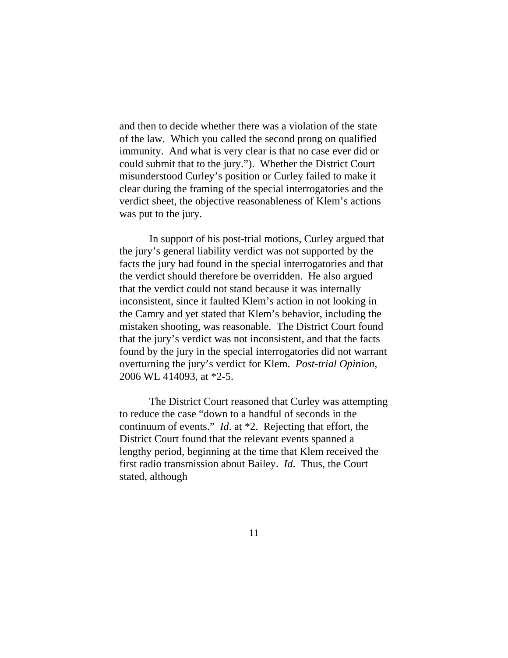and then to decide whether there was a violation of the state of the law. Which you called the second prong on qualified immunity. And what is very clear is that no case ever did or could submit that to the jury."). Whether the District Court misunderstood Curley's position or Curley failed to make it clear during the framing of the special interrogatories and the verdict sheet, the objective reasonableness of Klem's actions was put to the jury.

In support of his post-trial motions, Curley argued that the jury's general liability verdict was not supported by the facts the jury had found in the special interrogatories and that the verdict should therefore be overridden. He also argued that the verdict could not stand because it was internally inconsistent, since it faulted Klem's action in not looking in the Camry and yet stated that Klem's behavior, including the mistaken shooting, was reasonable. The District Court found that the jury's verdict was not inconsistent, and that the facts found by the jury in the special interrogatories did not warrant overturning the jury's verdict for Klem. *Post-trial Opinion*, 2006 WL 414093, at \*2-5.

The District Court reasoned that Curley was attempting to reduce the case "down to a handful of seconds in the continuum of events." *Id*. at \*2. Rejecting that effort, the District Court found that the relevant events spanned a lengthy period, beginning at the time that Klem received the first radio transmission about Bailey. *Id*. Thus, the Court stated, although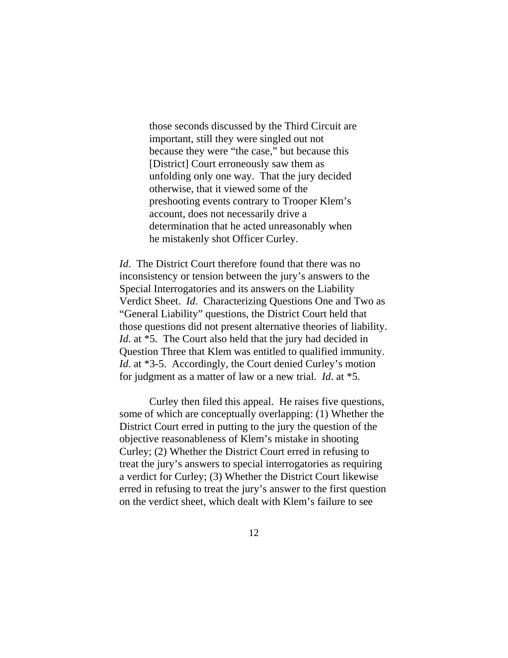those seconds discussed by the Third Circuit are important, still they were singled out not because they were "the case," but because this [District] Court erroneously saw them as unfolding only one way. That the jury decided otherwise, that it viewed some of the preshooting events contrary to Trooper Klem's account, does not necessarily drive a determination that he acted unreasonably when he mistakenly shot Officer Curley.

*Id*. The District Court therefore found that there was no inconsistency or tension between the jury's answers to the Special Interrogatories and its answers on the Liability Verdict Sheet. *Id*. Characterizing Questions One and Two as "General Liability" questions, the District Court held that those questions did not present alternative theories of liability. *Id.* at \*5. The Court also held that the jury had decided in Question Three that Klem was entitled to qualified immunity. *Id.* at \*3-5. Accordingly, the Court denied Curley's motion for judgment as a matter of law or a new trial. *Id*. at \*5.

Curley then filed this appeal. He raises five questions, some of which are conceptually overlapping: (1) Whether the District Court erred in putting to the jury the question of the objective reasonableness of Klem's mistake in shooting Curley; (2) Whether the District Court erred in refusing to treat the jury's answers to special interrogatories as requiring a verdict for Curley; (3) Whether the District Court likewise erred in refusing to treat the jury's answer to the first question on the verdict sheet, which dealt with Klem's failure to see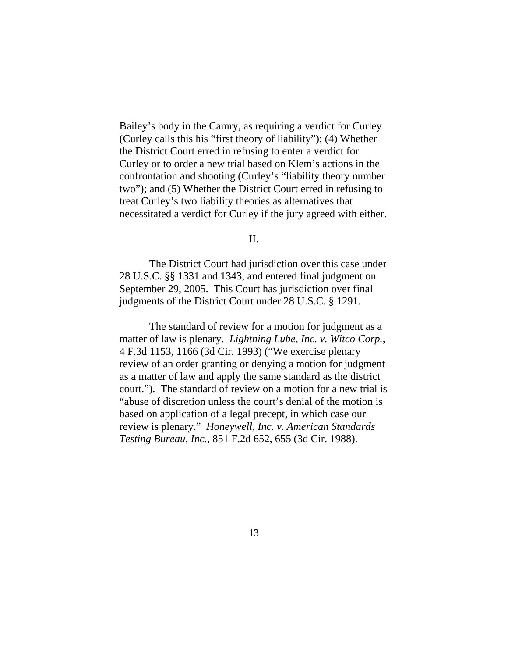Bailey's body in the Camry, as requiring a verdict for Curley (Curley calls this his "first theory of liability"); (4) Whether the District Court erred in refusing to enter a verdict for Curley or to order a new trial based on Klem's actions in the confrontation and shooting (Curley's "liability theory number two"); and (5) Whether the District Court erred in refusing to treat Curley's two liability theories as alternatives that necessitated a verdict for Curley if the jury agreed with either.

### II.

The District Court had jurisdiction over this case under 28 U.S.C. §§ 1331 and 1343, and entered final judgment on September 29, 2005. This Court has jurisdiction over final judgments of the District Court under 28 U.S.C. § 1291.

The standard of review for a motion for judgment as a matter of law is plenary. *Lightning Lube, Inc. v. Witco Corp.*, 4 F.3d 1153, 1166 (3d Cir. 1993) ("We exercise plenary review of an order granting or denying a motion for judgment as a matter of law and apply the same standard as the district court."). The standard of review on a motion for a new trial is "abuse of discretion unless the court's denial of the motion is based on application of a legal precept, in which case our review is plenary." *Honeywell, Inc. v. American Standards Testing Bureau, Inc.*, 851 F.2d 652, 655 (3d Cir. 1988).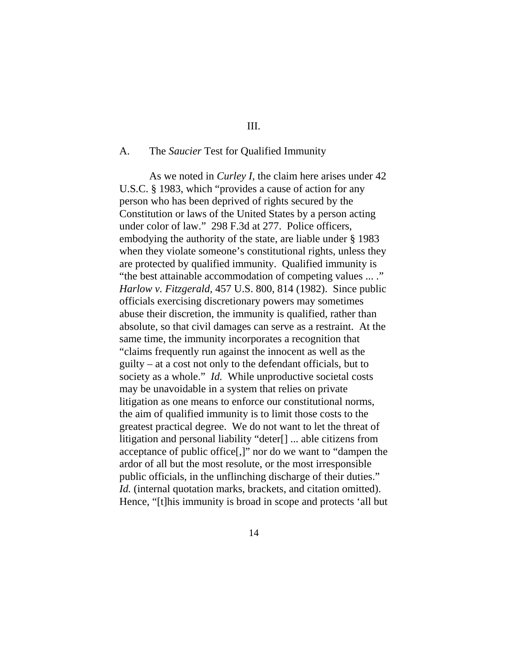### III.

### A. The *Saucier* Test for Qualified Immunity

As we noted in *Curley I*, the claim here arises under 42 U.S.C. § 1983, which "provides a cause of action for any person who has been deprived of rights secured by the Constitution or laws of the United States by a person acting under color of law." 298 F.3d at 277. Police officers, embodying the authority of the state, are liable under § 1983 when they violate someone's constitutional rights, unless they are protected by qualified immunity. Qualified immunity is "the best attainable accommodation of competing values ... ." *Harlow v. Fitzgerald*, 457 U.S. 800, 814 (1982). Since public officials exercising discretionary powers may sometimes abuse their discretion, the immunity is qualified, rather than absolute, so that civil damages can serve as a restraint. At the same time, the immunity incorporates a recognition that "claims frequently run against the innocent as well as the guilty – at a cost not only to the defendant officials, but to society as a whole." *Id.* While unproductive societal costs may be unavoidable in a system that relies on private litigation as one means to enforce our constitutional norms, the aim of qualified immunity is to limit those costs to the greatest practical degree. We do not want to let the threat of litigation and personal liability "deter[] ... able citizens from acceptance of public office[,]" nor do we want to "dampen the ardor of all but the most resolute, or the most irresponsible public officials, in the unflinching discharge of their duties." *Id.* (internal quotation marks, brackets, and citation omitted). Hence, "[t]his immunity is broad in scope and protects 'all but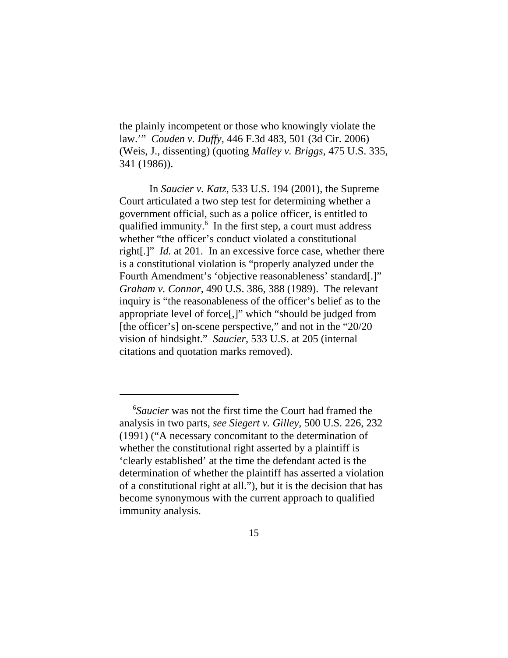the plainly incompetent or those who knowingly violate the law.'" *Couden v. Duffy*, 446 F.3d 483, 501 (3d Cir. 2006) (Weis, J., dissenting) (quoting *Malley v. Briggs,* 475 U.S. 335, 341 (1986)).

In *Saucier v. Katz*, 533 U.S. 194 (2001), the Supreme Court articulated a two step test for determining whether a government official, such as a police officer, is entitled to qualified immunity.<sup>6</sup> In the first step, a court must address whether "the officer's conduct violated a constitutional right[.]" *Id.* at 201. In an excessive force case, whether there is a constitutional violation is "properly analyzed under the Fourth Amendment's 'objective reasonableness' standard[.]" *Graham v. Connor*, 490 U.S. 386, 388 (1989). The relevant inquiry is "the reasonableness of the officer's belief as to the appropriate level of force[,]" which "should be judged from [the officer's] on-scene perspective," and not in the "20/20" vision of hindsight." *Saucier*, 533 U.S. at 205 (internal citations and quotation marks removed).

<sup>&</sup>lt;sup>6</sup>Saucier was not the first time the Court had framed the analysis in two parts, *see Siegert v. Gilley*, 500 U.S. 226, 232 (1991) ("A necessary concomitant to the determination of whether the constitutional right asserted by a plaintiff is 'clearly established' at the time the defendant acted is the determination of whether the plaintiff has asserted a violation of a constitutional right at all."), but it is the decision that has become synonymous with the current approach to qualified immunity analysis.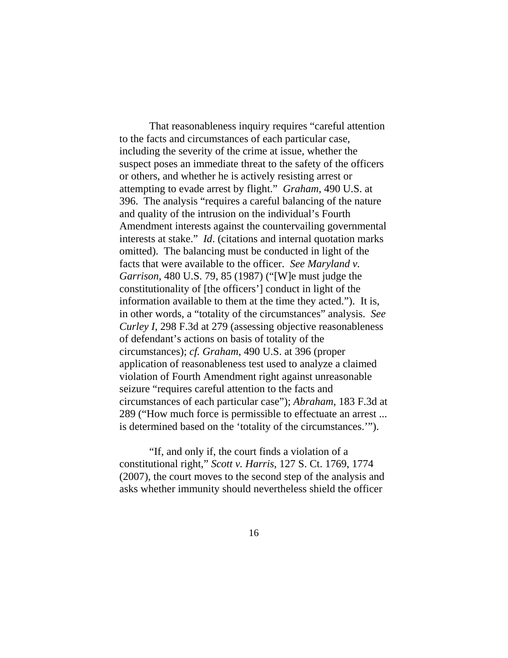That reasonableness inquiry requires "careful attention to the facts and circumstances of each particular case, including the severity of the crime at issue, whether the suspect poses an immediate threat to the safety of the officers or others, and whether he is actively resisting arrest or attempting to evade arrest by flight." *Graham*, 490 U.S. at 396. The analysis "requires a careful balancing of the nature and quality of the intrusion on the individual's Fourth Amendment interests against the countervailing governmental interests at stake." *Id*. (citations and internal quotation marks omitted). The balancing must be conducted in light of the facts that were available to the officer. *See Maryland v. Garrison*, 480 U.S. 79, 85 (1987) ("[W]e must judge the constitutionality of [the officers'] conduct in light of the information available to them at the time they acted."). It is, in other words, a "totality of the circumstances" analysis. *See Curley I*, 298 F.3d at 279 (assessing objective reasonableness of defendant's actions on basis of totality of the circumstances); *cf. Graham*, 490 U.S. at 396 (proper application of reasonableness test used to analyze a claimed violation of Fourth Amendment right against unreasonable seizure "requires careful attention to the facts and circumstances of each particular case"); *Abraham*, 183 F.3d at 289 ("How much force is permissible to effectuate an arrest ... is determined based on the 'totality of the circumstances.'").

 "If, and only if, the court finds a violation of a constitutional right," *Scott v. Harris*, 127 S. Ct. 1769, 1774 (2007), the court moves to the second step of the analysis and asks whether immunity should nevertheless shield the officer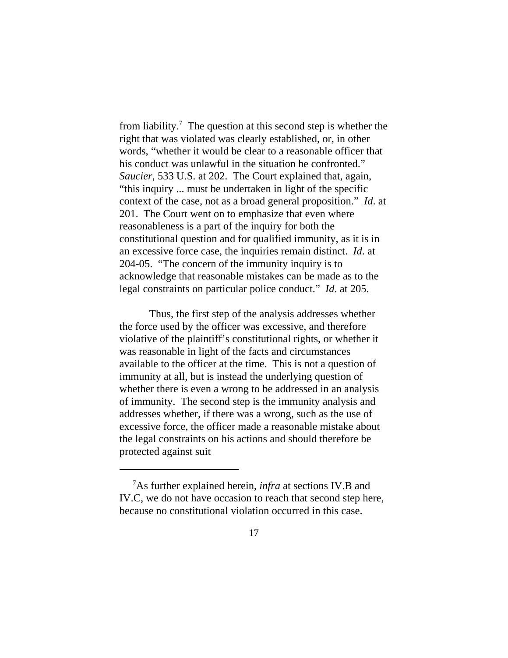from liability.<sup>7</sup> The question at this second step is whether the right that was violated was clearly established, or, in other words, "whether it would be clear to a reasonable officer that his conduct was unlawful in the situation he confronted." *Saucier*, 533 U.S. at 202. The Court explained that, again, "this inquiry ... must be undertaken in light of the specific context of the case, not as a broad general proposition." *Id*. at 201. The Court went on to emphasize that even where reasonableness is a part of the inquiry for both the constitutional question and for qualified immunity, as it is in an excessive force case, the inquiries remain distinct. *Id*. at 204-05. "The concern of the immunity inquiry is to acknowledge that reasonable mistakes can be made as to the legal constraints on particular police conduct." *Id*. at 205.

Thus, the first step of the analysis addresses whether the force used by the officer was excessive, and therefore violative of the plaintiff's constitutional rights, or whether it was reasonable in light of the facts and circumstances available to the officer at the time. This is not a question of immunity at all, but is instead the underlying question of whether there is even a wrong to be addressed in an analysis of immunity. The second step is the immunity analysis and addresses whether, if there was a wrong, such as the use of excessive force, the officer made a reasonable mistake about the legal constraints on his actions and should therefore be protected against suit

<sup>&</sup>lt;sup>7</sup>As further explained herein, *infra* at sections IV.B and IV.C, we do not have occasion to reach that second step here, because no constitutional violation occurred in this case.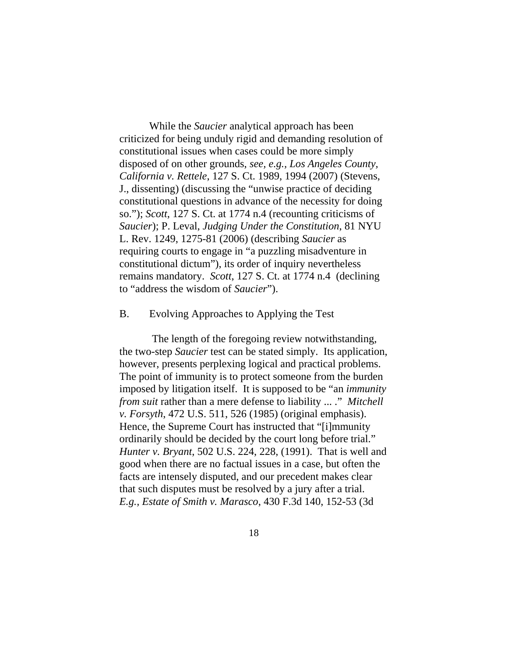While the *Saucier* analytical approach has been criticized for being unduly rigid and demanding resolution of constitutional issues when cases could be more simply disposed of on other grounds, *see, e.g., Los Angeles County, California v. Rettele*, 127 S. Ct. 1989, 1994 (2007) (Stevens, J., dissenting) (discussing the "unwise practice of deciding constitutional questions in advance of the necessity for doing so."); *Scott*, 127 S. Ct. at 1774 n.4 (recounting criticisms of *Saucier*); P. Leval, *Judging Under the Constitution*, 81 NYU L. Rev. 1249, 1275-81 (2006) (describing *Saucier* as requiring courts to engage in "a puzzling misadventure in constitutional dictum"), its order of inquiry nevertheless remains mandatory. *Scott*, 127 S. Ct. at 1774 n.4 (declining to "address the wisdom of *Saucier*").

#### B. Evolving Approaches to Applying the Test

 The length of the foregoing review notwithstanding, the two-step *Saucier* test can be stated simply. Its application, however, presents perplexing logical and practical problems. The point of immunity is to protect someone from the burden imposed by litigation itself. It is supposed to be "an *immunity from suit* rather than a mere defense to liability ... ." *Mitchell v. Forsyth*, 472 U.S. 511, 526 (1985) (original emphasis). Hence, the Supreme Court has instructed that "[i]mmunity ordinarily should be decided by the court long before trial." *Hunter v. Bryant*, 502 U.S. 224, 228, (1991). That is well and good when there are no factual issues in a case, but often the facts are intensely disputed, and our precedent makes clear that such disputes must be resolved by a jury after a trial. *E.g., Estate of Smith v. Marasco*, 430 F.3d 140, 152-53 (3d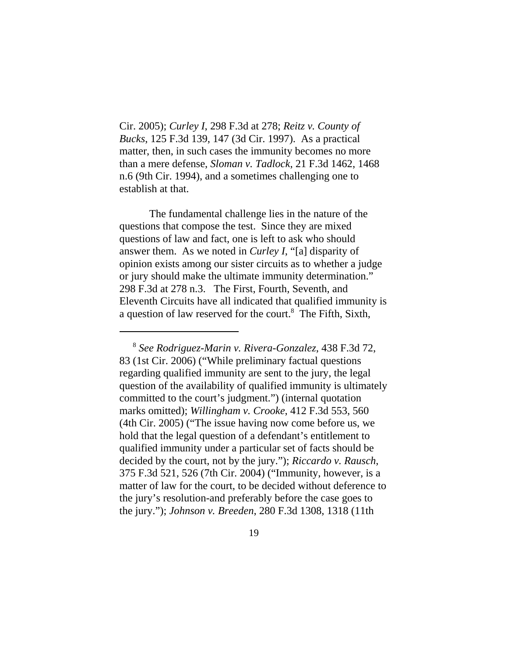Cir. 2005); *Curley I*, 298 F.3d at 278; *Reitz v. County of Bucks*, 125 F.3d 139, 147 (3d Cir. 1997). As a practical matter, then, in such cases the immunity becomes no more than a mere defense, *Sloman v. Tadlock*, 21 F.3d 1462, 1468 n.6 (9th Cir. 1994), and a sometimes challenging one to establish at that.

The fundamental challenge lies in the nature of the questions that compose the test. Since they are mixed questions of law and fact, one is left to ask who should answer them. As we noted in *Curley I*, "[a] disparity of opinion exists among our sister circuits as to whether a judge or jury should make the ultimate immunity determination." 298 F.3d at 278 n.3. The First, Fourth, Seventh, and Eleventh Circuits have all indicated that qualified immunity is a question of law reserved for the court.<sup>8</sup> The Fifth, Sixth,

 <sup>8</sup> *See Rodriguez-Marin v. Rivera-Gonzalez*, 438 F.3d 72, 83 (1st Cir. 2006) ("While preliminary factual questions regarding qualified immunity are sent to the jury, the legal question of the availability of qualified immunity is ultimately committed to the court's judgment.") (internal quotation marks omitted); *Willingham v. Crooke*, 412 F.3d 553, 560 (4th Cir. 2005) ("The issue having now come before us, we hold that the legal question of a defendant's entitlement to qualified immunity under a particular set of facts should be decided by the court, not by the jury."); *Riccardo v. Rausch*, 375 F.3d 521, 526 (7th Cir. 2004) ("Immunity, however, is a matter of law for the court, to be decided without deference to the jury's resolution-and preferably before the case goes to the jury."); *Johnson v. Breeden*, 280 F.3d 1308, 1318 (11th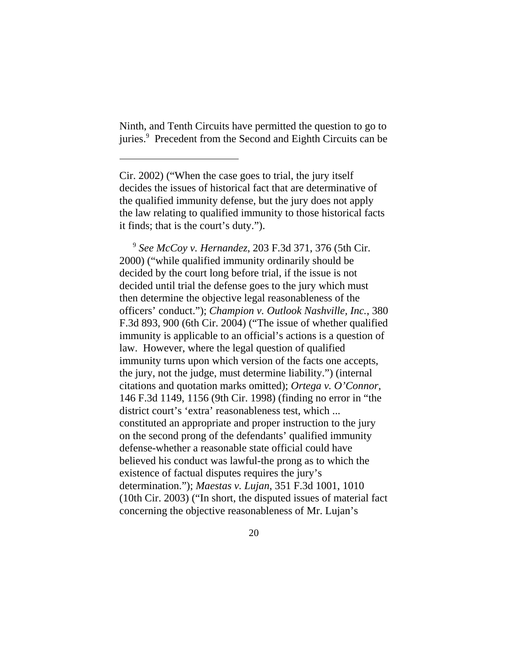Ninth, and Tenth Circuits have permitted the question to go to juries.<sup>9</sup> Precedent from the Second and Eighth Circuits can be

<sup>9</sup> See McCoy v. Hernandez, 203 F.3d 371, 376 (5th Cir. 2000) ("while qualified immunity ordinarily should be decided by the court long before trial, if the issue is not decided until trial the defense goes to the jury which must then determine the objective legal reasonableness of the officers' conduct."); *Champion v. Outlook Nashville, Inc.*, 380 F.3d 893, 900 (6th Cir. 2004) ("The issue of whether qualified immunity is applicable to an official's actions is a question of law. However, where the legal question of qualified immunity turns upon which version of the facts one accepts, the jury, not the judge, must determine liability.") (internal citations and quotation marks omitted); *Ortega v. O'Connor*, 146 F.3d 1149, 1156 (9th Cir. 1998) (finding no error in "the district court's 'extra' reasonableness test, which ... constituted an appropriate and proper instruction to the jury on the second prong of the defendants' qualified immunity defense-whether a reasonable state official could have believed his conduct was lawful-the prong as to which the existence of factual disputes requires the jury's determination."); *Maestas v. Lujan*, 351 F.3d 1001, 1010 (10th Cir. 2003) ("In short, the disputed issues of material fact concerning the objective reasonableness of Mr. Lujan's

Cir. 2002) ("When the case goes to trial, the jury itself decides the issues of historical fact that are determinative of the qualified immunity defense, but the jury does not apply the law relating to qualified immunity to those historical facts it finds; that is the court's duty.").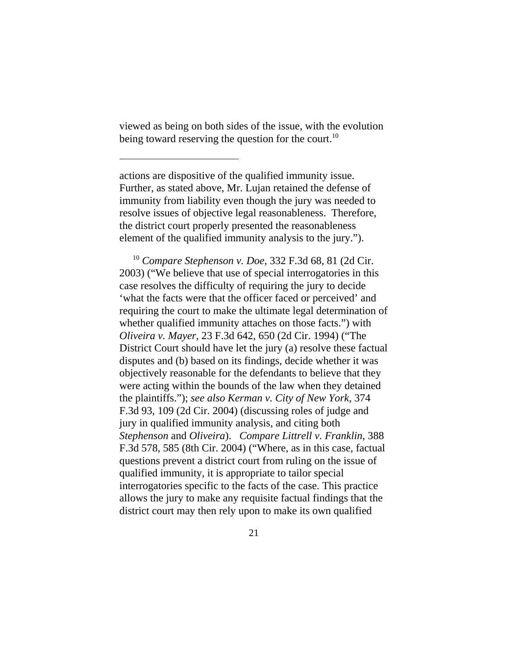viewed as being on both sides of the issue, with the evolution being toward reserving the question for the court.<sup>10</sup>

actions are dispositive of the qualified immunity issue. Further, as stated above, Mr. Lujan retained the defense of immunity from liability even though the jury was needed to resolve issues of objective legal reasonableness. Therefore, the district court properly presented the reasonableness element of the qualified immunity analysis to the jury.").

 10 *Compare Stephenson v. Doe*, 332 F.3d 68, 81 (2d Cir. 2003) ("We believe that use of special interrogatories in this case resolves the difficulty of requiring the jury to decide 'what the facts were that the officer faced or perceived' and requiring the court to make the ultimate legal determination of whether qualified immunity attaches on those facts.") with *Oliveira v. Mayer*, 23 F.3d 642, 650 (2d Cir. 1994) ("The District Court should have let the jury (a) resolve these factual disputes and (b) based on its findings, decide whether it was objectively reasonable for the defendants to believe that they were acting within the bounds of the law when they detained the plaintiffs."); *see also Kerman v. City of New York*, 374 F.3d 93, 109 (2d Cir. 2004) (discussing roles of judge and jury in qualified immunity analysis, and citing both *Stephenson* and *Oliveira*). *Compare Littrell v. Franklin*, 388 F.3d 578, 585 (8th Cir. 2004) ("Where, as in this case, factual questions prevent a district court from ruling on the issue of qualified immunity, it is appropriate to tailor special interrogatories specific to the facts of the case. This practice allows the jury to make any requisite factual findings that the district court may then rely upon to make its own qualified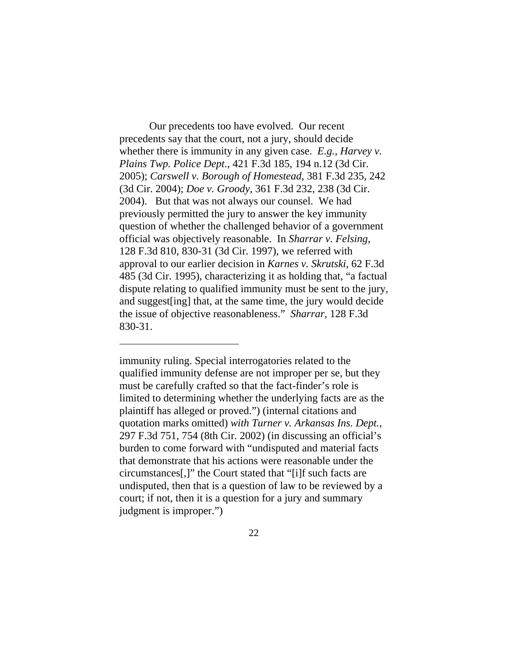Our precedents too have evolved. Our recent precedents say that the court, not a jury, should decide whether there is immunity in any given case. *E.g., Harvey v. Plains Twp. Police Dept*., 421 F.3d 185, 194 n.12 (3d Cir. 2005); *Carswell v. Borough of Homestead*, 381 F.3d 235, 242 (3d Cir. 2004); *Doe v. Groody*, 361 F.3d 232, 238 (3d Cir. 2004). But that was not always our counsel. We had previously permitted the jury to answer the key immunity question of whether the challenged behavior of a government official was objectively reasonable. In *Sharrar v. Felsing*, 128 F.3d 810, 830-31 (3d Cir. 1997), we referred with approval to our earlier decision in *Karnes v. Skrutski*, 62 F.3d 485 (3d Cir. 1995), characterizing it as holding that, "a factual dispute relating to qualified immunity must be sent to the jury, and suggest[ing] that, at the same time, the jury would decide the issue of objective reasonableness." *Sharrar*, 128 F.3d 830-31.

immunity ruling. Special interrogatories related to the qualified immunity defense are not improper per se, but they must be carefully crafted so that the fact-finder's role is limited to determining whether the underlying facts are as the plaintiff has alleged or proved.") (internal citations and quotation marks omitted) *with Turner v. Arkansas Ins. Dept.*, 297 F.3d 751, 754 (8th Cir. 2002) (in discussing an official's burden to come forward with "undisputed and material facts that demonstrate that his actions were reasonable under the circumstances[,]" the Court stated that "[i]f such facts are undisputed, then that is a question of law to be reviewed by a court; if not, then it is a question for a jury and summary judgment is improper.")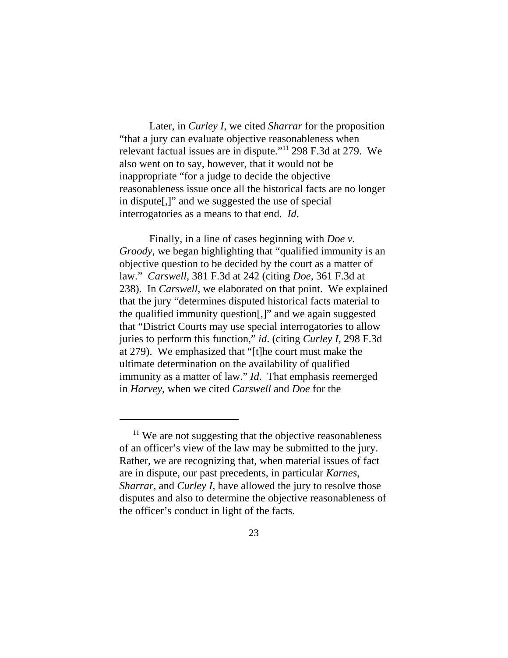Later, in *Curley I*, we cited *Sharrar* for the proposition "that a jury can evaluate objective reasonableness when relevant factual issues are in dispute."11 298 F.3d at 279. We also went on to say, however, that it would not be inappropriate "for a judge to decide the objective reasonableness issue once all the historical facts are no longer in dispute[,]" and we suggested the use of special interrogatories as a means to that end. *Id*.

Finally, in a line of cases beginning with *Doe v. Groody*, we began highlighting that "qualified immunity is an objective question to be decided by the court as a matter of law." *Carswell*, 381 F.3d at 242 (citing *Doe*, 361 F.3d at 238). In *Carswell*, we elaborated on that point. We explained that the jury "determines disputed historical facts material to the qualified immunity question[,]" and we again suggested that "District Courts may use special interrogatories to allow juries to perform this function," *id*. (citing *Curley I*, 298 F.3d at 279). We emphasized that "[t]he court must make the ultimate determination on the availability of qualified immunity as a matter of law." *Id*. That emphasis reemerged in *Harvey*, when we cited *Carswell* and *Doe* for the

 $11$  We are not suggesting that the objective reasonableness of an officer's view of the law may be submitted to the jury. Rather, we are recognizing that, when material issues of fact are in dispute, our past precedents, in particular *Karnes*, *Sharrar*, and *Curley I*, have allowed the jury to resolve those disputes and also to determine the objective reasonableness of the officer's conduct in light of the facts.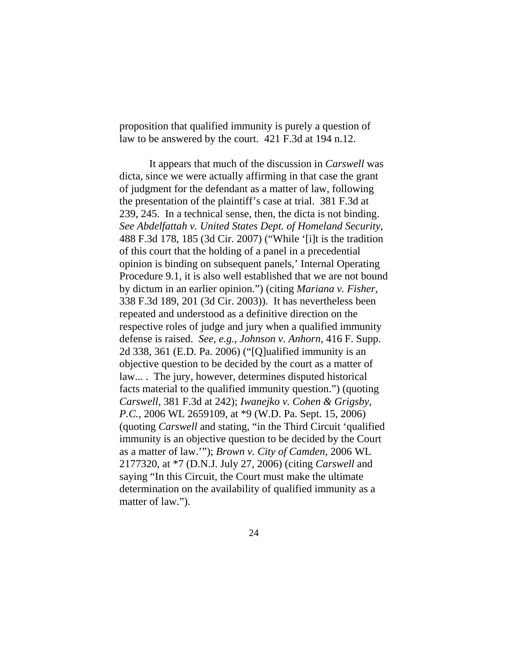proposition that qualified immunity is purely a question of law to be answered by the court. 421 F.3d at 194 n.12.

It appears that much of the discussion in *Carswell* was dicta, since we were actually affirming in that case the grant of judgment for the defendant as a matter of law, following the presentation of the plaintiff's case at trial. 381 F.3d at 239, 245. In a technical sense, then, the dicta is not binding. *See Abdelfattah v. United States Dept. of Homeland Security*, 488 F.3d 178, 185 (3d Cir. 2007) ("While '[i]t is the tradition of this court that the holding of a panel in a precedential opinion is binding on subsequent panels,' Internal Operating Procedure 9.1, it is also well established that we are not bound by dictum in an earlier opinion.") (citing *Mariana v. Fisher*, 338 F.3d 189, 201 (3d Cir. 2003)). It has nevertheless been repeated and understood as a definitive direction on the respective roles of judge and jury when a qualified immunity defense is raised. *See, e.g., Johnson v. Anhorn*, 416 F. Supp. 2d 338, 361 (E.D. Pa. 2006) ("[Q]ualified immunity is an objective question to be decided by the court as a matter of law... . The jury, however, determines disputed historical facts material to the qualified immunity question.") (quoting *Carswell,* 381 F.3d at 242); *Iwanejko v. Cohen & Grigsby, P.C.*, 2006 WL 2659109, at \*9 (W.D. Pa. Sept. 15, 2006) (quoting *Carswell* and stating, "in the Third Circuit 'qualified immunity is an objective question to be decided by the Court as a matter of law.'"); *Brown v. City of Camden*, 2006 WL 2177320, at \*7 (D.N.J. July 27, 2006) (citing *Carswell* and saying "In this Circuit, the Court must make the ultimate determination on the availability of qualified immunity as a matter of law.").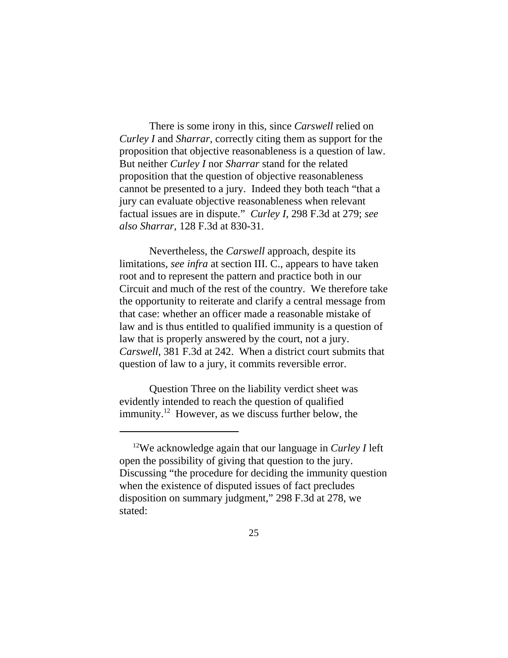There is some irony in this, since *Carswell* relied on *Curley I* and *Sharrar*, correctly citing them as support for the proposition that objective reasonableness is a question of law. But neither *Curley I* nor *Sharrar* stand for the related proposition that the question of objective reasonableness cannot be presented to a jury. Indeed they both teach "that a jury can evaluate objective reasonableness when relevant factual issues are in dispute." *Curley I*, 298 F.3d at 279; *see also Sharrar,* 128 F.3d at 830-31.

Nevertheless, the *Carswell* approach, despite its limitations, *see infra* at section III. C., appears to have taken root and to represent the pattern and practice both in our Circuit and much of the rest of the country. We therefore take the opportunity to reiterate and clarify a central message from that case: whether an officer made a reasonable mistake of law and is thus entitled to qualified immunity is a question of law that is properly answered by the court, not a jury. *Carswell*, 381 F.3d at 242. When a district court submits that question of law to a jury, it commits reversible error.

Question Three on the liability verdict sheet was evidently intended to reach the question of qualified immunity.<sup>12</sup> However, as we discuss further below, the

 <sup>12</sup>We acknowledge again that our language in *Curley I* left open the possibility of giving that question to the jury. Discussing "the procedure for deciding the immunity question when the existence of disputed issues of fact precludes disposition on summary judgment," 298 F.3d at 278, we stated: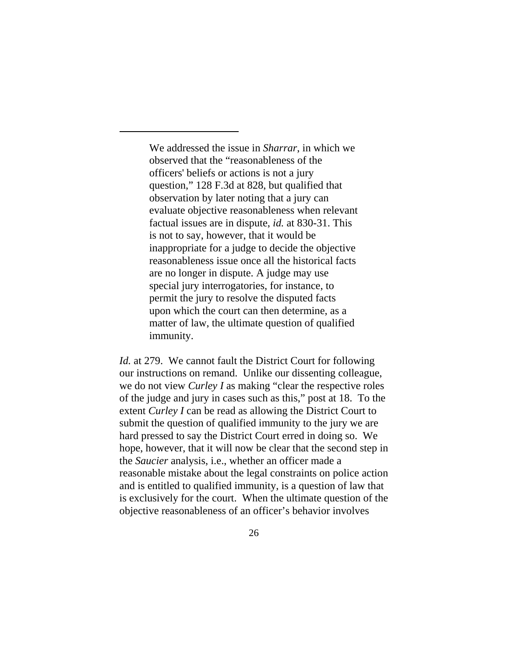We addressed the issue in *Sharrar*, in which we observed that the "reasonableness of the officers' beliefs or actions is not a jury question," 128 F.3d at 828, but qualified that observation by later noting that a jury can evaluate objective reasonableness when relevant factual issues are in dispute, *id.* at 830-31. This is not to say, however, that it would be inappropriate for a judge to decide the objective reasonableness issue once all the historical facts are no longer in dispute. A judge may use special jury interrogatories, for instance, to permit the jury to resolve the disputed facts upon which the court can then determine, as a matter of law, the ultimate question of qualified immunity.

*Id.* at 279. We cannot fault the District Court for following our instructions on remand. Unlike our dissenting colleague, we do not view *Curley I* as making "clear the respective roles of the judge and jury in cases such as this," post at 18. To the extent *Curley I* can be read as allowing the District Court to submit the question of qualified immunity to the jury we are hard pressed to say the District Court erred in doing so. We hope, however, that it will now be clear that the second step in the *Saucier* analysis, i.e., whether an officer made a reasonable mistake about the legal constraints on police action and is entitled to qualified immunity, is a question of law that is exclusively for the court. When the ultimate question of the objective reasonableness of an officer's behavior involves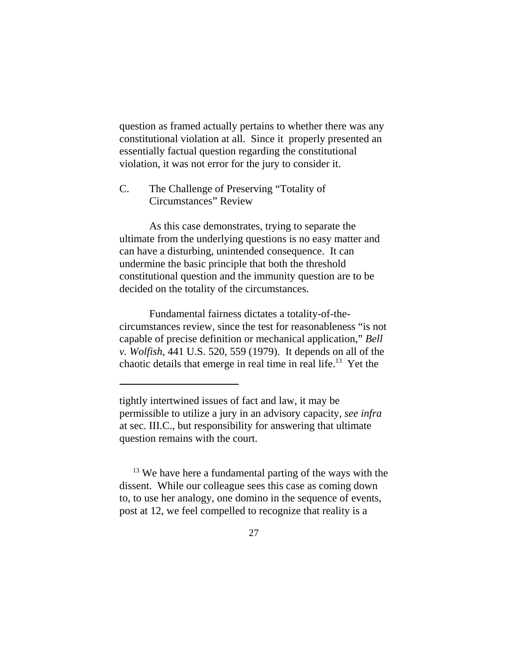question as framed actually pertains to whether there was any constitutional violation at all. Since it properly presented an essentially factual question regarding the constitutional violation, it was not error for the jury to consider it.

C. The Challenge of Preserving "Totality of Circumstances" Review

As this case demonstrates, trying to separate the ultimate from the underlying questions is no easy matter and can have a disturbing, unintended consequence. It can undermine the basic principle that both the threshold constitutional question and the immunity question are to be decided on the totality of the circumstances.

Fundamental fairness dictates a totality-of-thecircumstances review, since the test for reasonableness "is not capable of precise definition or mechanical application," *Bell v. Wolfish*, 441 U.S. 520, 559 (1979). It depends on all of the chaotic details that emerge in real time in real life.13 Yet the

 $13$  We have here a fundamental parting of the ways with the dissent. While our colleague sees this case as coming down to, to use her analogy, one domino in the sequence of events, post at 12, we feel compelled to recognize that reality is a

tightly intertwined issues of fact and law, it may be permissible to utilize a jury in an advisory capacity, *see infra* at sec. III.C., but responsibility for answering that ultimate question remains with the court.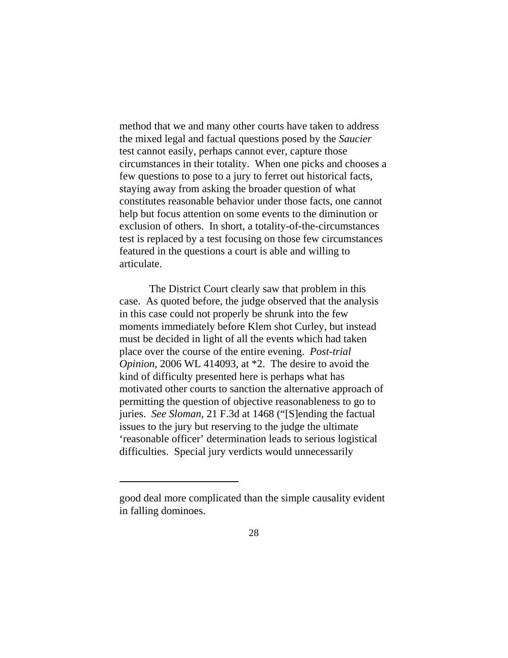method that we and many other courts have taken to address the mixed legal and factual questions posed by the *Saucier* test cannot easily, perhaps cannot ever, capture those circumstances in their totality. When one picks and chooses a few questions to pose to a jury to ferret out historical facts, staying away from asking the broader question of what constitutes reasonable behavior under those facts, one cannot help but focus attention on some events to the diminution or exclusion of others. In short, a totality-of-the-circumstances test is replaced by a test focusing on those few circumstances featured in the questions a court is able and willing to articulate.

The District Court clearly saw that problem in this case. As quoted before, the judge observed that the analysis in this case could not properly be shrunk into the few moments immediately before Klem shot Curley, but instead must be decided in light of all the events which had taken place over the course of the entire evening. *Post-trial Opinion*, 2006 WL 414093, at \*2. The desire to avoid the kind of difficulty presented here is perhaps what has motivated other courts to sanction the alternative approach of permitting the question of objective reasonableness to go to juries. *See Sloman*, 21 F.3d at 1468 ("[S]ending the factual issues to the jury but reserving to the judge the ultimate 'reasonable officer' determination leads to serious logistical difficulties. Special jury verdicts would unnecessarily

good deal more complicated than the simple causality evident in falling dominoes.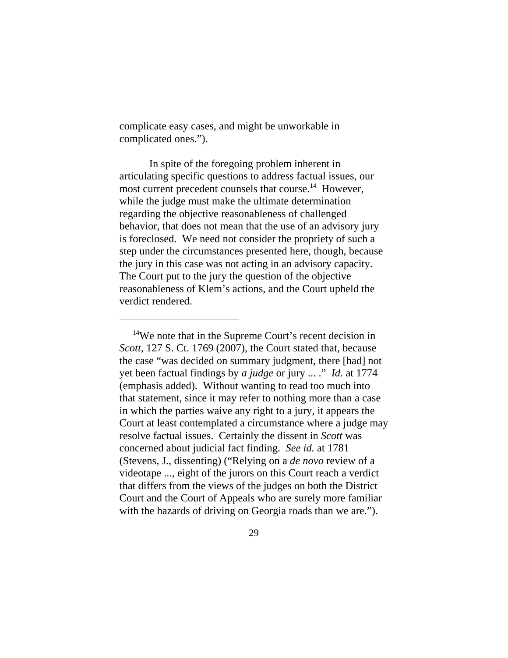complicate easy cases, and might be unworkable in complicated ones.").

In spite of the foregoing problem inherent in articulating specific questions to address factual issues, our most current precedent counsels that course.<sup>14</sup> However, while the judge must make the ultimate determination regarding the objective reasonableness of challenged behavior, that does not mean that the use of an advisory jury is foreclosed. We need not consider the propriety of such a step under the circumstances presented here, though, because the jury in this case was not acting in an advisory capacity. The Court put to the jury the question of the objective reasonableness of Klem's actions, and the Court upheld the verdict rendered.

 $14$ We note that in the Supreme Court's recent decision in *Scott*, 127 S. Ct. 1769 (2007), the Court stated that, because the case "was decided on summary judgment, there [had] not yet been factual findings by *a judge* or jury ... ." *Id.* at 1774 (emphasis added). Without wanting to read too much into that statement, since it may refer to nothing more than a case in which the parties waive any right to a jury, it appears the Court at least contemplated a circumstance where a judge may resolve factual issues. Certainly the dissent in *Scott* was concerned about judicial fact finding. *See id.* at 1781 (Stevens, J., dissenting) ("Relying on a *de novo* review of a videotape ..., eight of the jurors on this Court reach a verdict that differs from the views of the judges on both the District Court and the Court of Appeals who are surely more familiar with the hazards of driving on Georgia roads than we are.").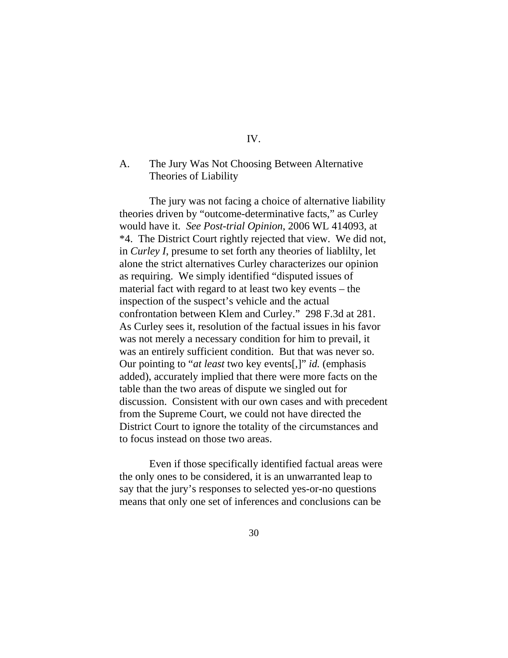### IV.

## A. The Jury Was Not Choosing Between Alternative Theories of Liability

The jury was not facing a choice of alternative liability theories driven by "outcome-determinative facts," as Curley would have it. *See Post-trial Opinion*, 2006 WL 414093, at \*4. The District Court rightly rejected that view. We did not, in *Curley I*, presume to set forth any theories of liablilty, let alone the strict alternatives Curley characterizes our opinion as requiring. We simply identified "disputed issues of material fact with regard to at least two key events – the inspection of the suspect's vehicle and the actual confrontation between Klem and Curley." 298 F.3d at 281. As Curley sees it, resolution of the factual issues in his favor was not merely a necessary condition for him to prevail, it was an entirely sufficient condition. But that was never so. Our pointing to "*at least* two key events[,]" *id.* (emphasis added), accurately implied that there were more facts on the table than the two areas of dispute we singled out for discussion. Consistent with our own cases and with precedent from the Supreme Court, we could not have directed the District Court to ignore the totality of the circumstances and to focus instead on those two areas.

Even if those specifically identified factual areas were the only ones to be considered, it is an unwarranted leap to say that the jury's responses to selected yes-or-no questions means that only one set of inferences and conclusions can be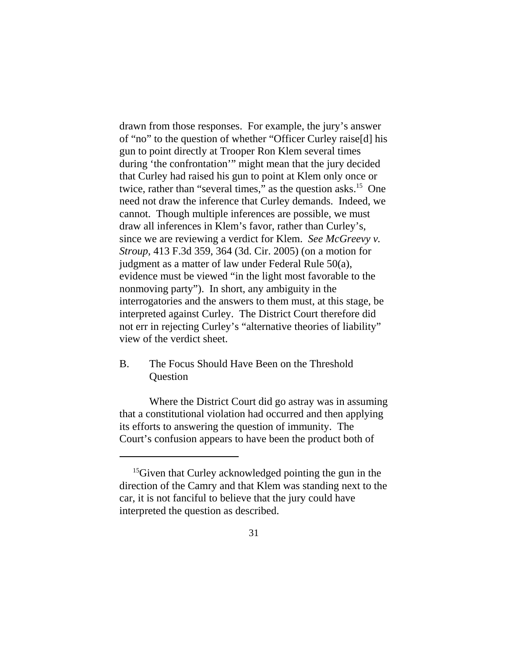drawn from those responses. For example, the jury's answer of "no" to the question of whether "Officer Curley raise[d] his gun to point directly at Trooper Ron Klem several times during 'the confrontation'" might mean that the jury decided that Curley had raised his gun to point at Klem only once or twice, rather than "several times," as the question asks.<sup>15</sup> One need not draw the inference that Curley demands. Indeed, we cannot. Though multiple inferences are possible, we must draw all inferences in Klem's favor, rather than Curley's, since we are reviewing a verdict for Klem. *See McGreevy v. Stroup*, 413 F.3d 359, 364 (3d. Cir. 2005) (on a motion for judgment as a matter of law under Federal Rule 50(a), evidence must be viewed "in the light most favorable to the nonmoving party"). In short, any ambiguity in the interrogatories and the answers to them must, at this stage, be interpreted against Curley. The District Court therefore did not err in rejecting Curley's "alternative theories of liability" view of the verdict sheet.

# B. The Focus Should Have Been on the Threshold **Question**

Where the District Court did go astray was in assuming that a constitutional violation had occurred and then applying its efforts to answering the question of immunity. The Court's confusion appears to have been the product both of

<sup>&</sup>lt;sup>15</sup>Given that Curley acknowledged pointing the gun in the direction of the Camry and that Klem was standing next to the car, it is not fanciful to believe that the jury could have interpreted the question as described.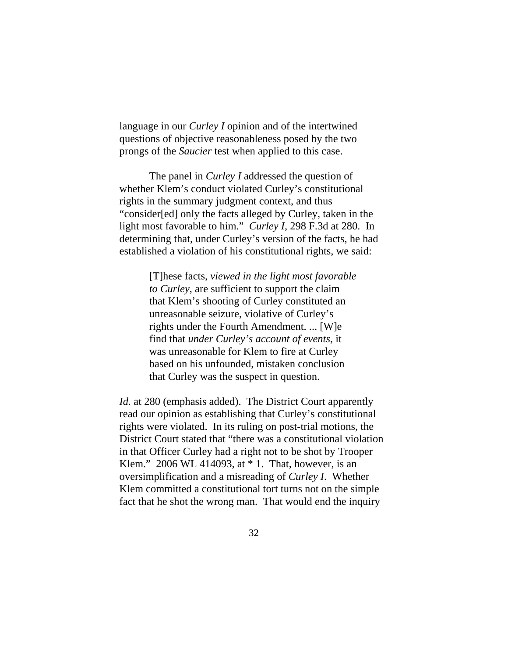language in our *Curley I* opinion and of the intertwined questions of objective reasonableness posed by the two prongs of the *Saucier* test when applied to this case.

The panel in *Curley I* addressed the question of whether Klem's conduct violated Curley's constitutional rights in the summary judgment context, and thus "consider[ed] only the facts alleged by Curley, taken in the light most favorable to him." *Curley I*, 298 F.3d at 280. In determining that, under Curley's version of the facts, he had established a violation of his constitutional rights, we said:

> [T]hese facts, *viewed in the light most favorable to Curley*, are sufficient to support the claim that Klem's shooting of Curley constituted an unreasonable seizure, violative of Curley's rights under the Fourth Amendment. ... [W]e find that *under Curley's account of events*, it was unreasonable for Klem to fire at Curley based on his unfounded, mistaken conclusion that Curley was the suspect in question.

*Id.* at 280 (emphasis added). The District Court apparently read our opinion as establishing that Curley's constitutional rights were violated. In its ruling on post-trial motions, the District Court stated that "there was a constitutional violation in that Officer Curley had a right not to be shot by Trooper Klem." 2006 WL 414093, at  $*$  1. That, however, is an oversimplification and a misreading of *Curley I*. Whether Klem committed a constitutional tort turns not on the simple fact that he shot the wrong man. That would end the inquiry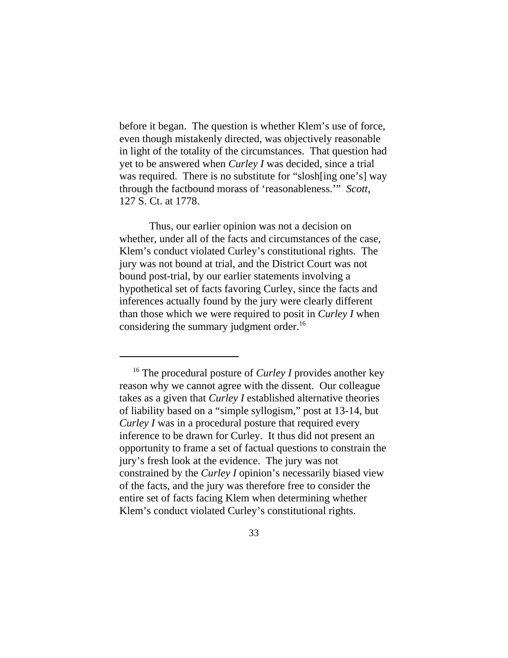before it began. The question is whether Klem's use of force, even though mistakenly directed, was objectively reasonable in light of the totality of the circumstances. That question had yet to be answered when *Curley I* was decided, since a trial was required. There is no substitute for "slosh[ing one's] way through the factbound morass of 'reasonableness.'" *Scott*, 127 S. Ct. at 1778.

Thus, our earlier opinion was not a decision on whether, under all of the facts and circumstances of the case, Klem's conduct violated Curley's constitutional rights. The jury was not bound at trial, and the District Court was not bound post-trial, by our earlier statements involving a hypothetical set of facts favoring Curley, since the facts and inferences actually found by the jury were clearly different than those which we were required to posit in *Curley I* when considering the summary judgment order.<sup>16</sup>

 <sup>16</sup> The procedural posture of *Curley I* provides another key reason why we cannot agree with the dissent. Our colleague takes as a given that *Curley I* established alternative theories of liability based on a "simple syllogism," post at 13-14, but *Curley I* was in a procedural posture that required every inference to be drawn for Curley. It thus did not present an opportunity to frame a set of factual questions to constrain the jury's fresh look at the evidence. The jury was not constrained by the *Curley I* opinion's necessarily biased view of the facts, and the jury was therefore free to consider the entire set of facts facing Klem when determining whether Klem's conduct violated Curley's constitutional rights.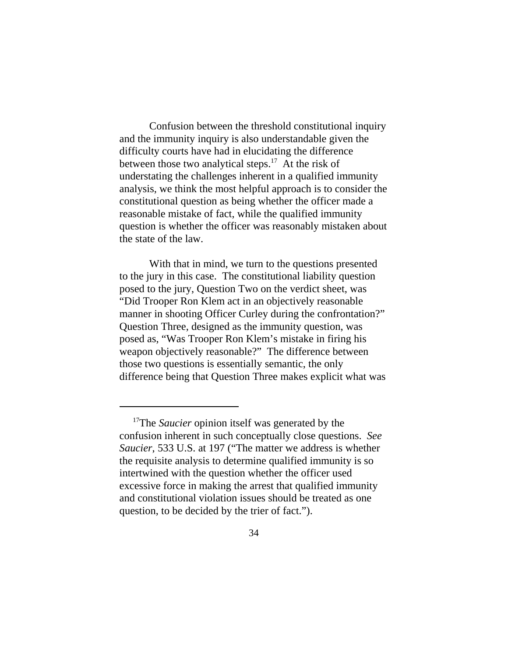Confusion between the threshold constitutional inquiry and the immunity inquiry is also understandable given the difficulty courts have had in elucidating the difference between those two analytical steps.<sup>17</sup> At the risk of understating the challenges inherent in a qualified immunity analysis, we think the most helpful approach is to consider the constitutional question as being whether the officer made a reasonable mistake of fact, while the qualified immunity question is whether the officer was reasonably mistaken about the state of the law.

With that in mind, we turn to the questions presented to the jury in this case. The constitutional liability question posed to the jury, Question Two on the verdict sheet, was "Did Trooper Ron Klem act in an objectively reasonable manner in shooting Officer Curley during the confrontation?" Question Three, designed as the immunity question, was posed as, "Was Trooper Ron Klem's mistake in firing his weapon objectively reasonable?" The difference between those two questions is essentially semantic, the only difference being that Question Three makes explicit what was

<sup>&</sup>lt;sup>17</sup>The *Saucier* opinion itself was generated by the confusion inherent in such conceptually close questions. *See Saucier*, 533 U.S. at 197 ("The matter we address is whether the requisite analysis to determine qualified immunity is so intertwined with the question whether the officer used excessive force in making the arrest that qualified immunity and constitutional violation issues should be treated as one question, to be decided by the trier of fact.").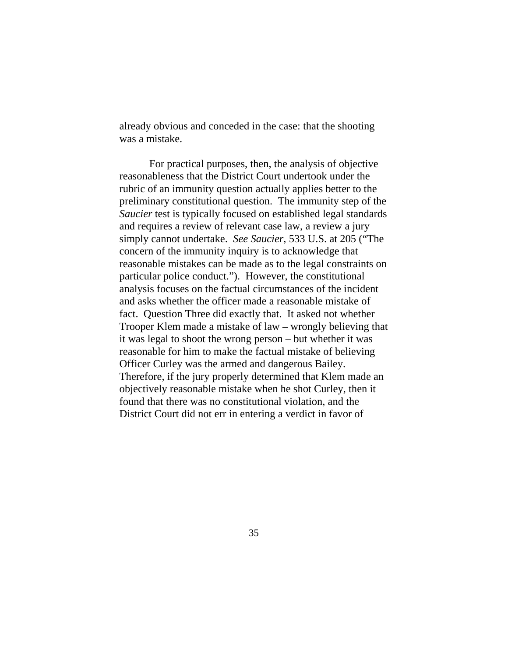already obvious and conceded in the case: that the shooting was a mistake.

For practical purposes, then, the analysis of objective reasonableness that the District Court undertook under the rubric of an immunity question actually applies better to the preliminary constitutional question. The immunity step of the *Saucier* test is typically focused on established legal standards and requires a review of relevant case law, a review a jury simply cannot undertake. *See Saucier*, 533 U.S. at 205 ("The concern of the immunity inquiry is to acknowledge that reasonable mistakes can be made as to the legal constraints on particular police conduct."). However, the constitutional analysis focuses on the factual circumstances of the incident and asks whether the officer made a reasonable mistake of fact. Question Three did exactly that. It asked not whether Trooper Klem made a mistake of law – wrongly believing that it was legal to shoot the wrong person – but whether it was reasonable for him to make the factual mistake of believing Officer Curley was the armed and dangerous Bailey. Therefore, if the jury properly determined that Klem made an objectively reasonable mistake when he shot Curley, then it found that there was no constitutional violation, and the District Court did not err in entering a verdict in favor of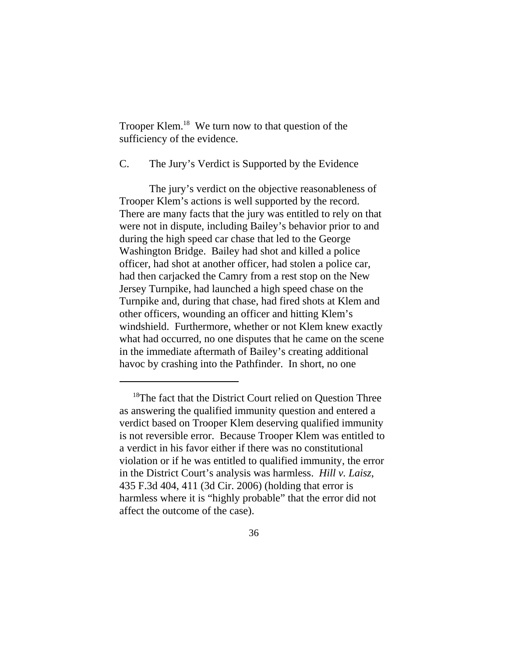Trooper Klem.18 We turn now to that question of the sufficiency of the evidence.

C. The Jury's Verdict is Supported by the Evidence

The jury's verdict on the objective reasonableness of Trooper Klem's actions is well supported by the record. There are many facts that the jury was entitled to rely on that were not in dispute, including Bailey's behavior prior to and during the high speed car chase that led to the George Washington Bridge. Bailey had shot and killed a police officer, had shot at another officer, had stolen a police car, had then carjacked the Camry from a rest stop on the New Jersey Turnpike, had launched a high speed chase on the Turnpike and, during that chase, had fired shots at Klem and other officers, wounding an officer and hitting Klem's windshield. Furthermore, whether or not Klem knew exactly what had occurred, no one disputes that he came on the scene in the immediate aftermath of Bailey's creating additional havoc by crashing into the Pathfinder. In short, no one

<sup>&</sup>lt;sup>18</sup>The fact that the District Court relied on Question Three as answering the qualified immunity question and entered a verdict based on Trooper Klem deserving qualified immunity is not reversible error. Because Trooper Klem was entitled to a verdict in his favor either if there was no constitutional violation or if he was entitled to qualified immunity, the error in the District Court's analysis was harmless. *Hill v. Laisz*, 435 F.3d 404, 411 (3d Cir. 2006) (holding that error is harmless where it is "highly probable" that the error did not affect the outcome of the case).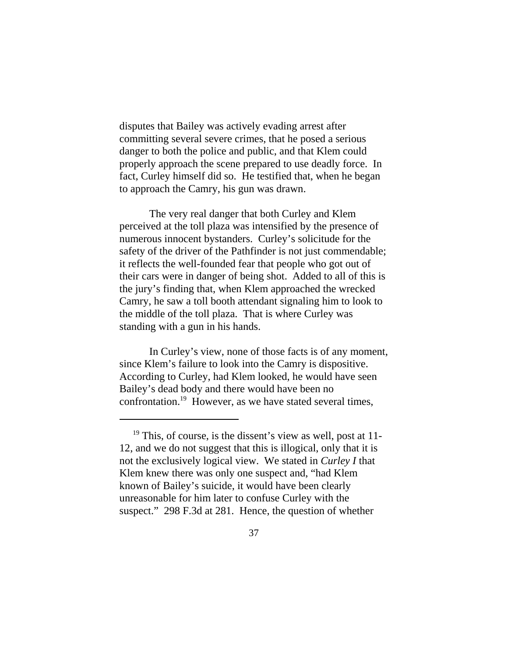disputes that Bailey was actively evading arrest after committing several severe crimes, that he posed a serious danger to both the police and public, and that Klem could properly approach the scene prepared to use deadly force. In fact, Curley himself did so. He testified that, when he began to approach the Camry, his gun was drawn.

The very real danger that both Curley and Klem perceived at the toll plaza was intensified by the presence of numerous innocent bystanders. Curley's solicitude for the safety of the driver of the Pathfinder is not just commendable; it reflects the well-founded fear that people who got out of their cars were in danger of being shot. Added to all of this is the jury's finding that, when Klem approached the wrecked Camry, he saw a toll booth attendant signaling him to look to the middle of the toll plaza. That is where Curley was standing with a gun in his hands.

In Curley's view, none of those facts is of any moment, since Klem's failure to look into the Camry is dispositive. According to Curley, had Klem looked, he would have seen Bailey's dead body and there would have been no confrontation.19 However, as we have stated several times,

 $19$  This, of course, is the dissent's view as well, post at 11-12, and we do not suggest that this is illogical, only that it is not the exclusively logical view. We stated in *Curley I* that Klem knew there was only one suspect and, "had Klem known of Bailey's suicide, it would have been clearly unreasonable for him later to confuse Curley with the suspect." 298 F.3d at 281. Hence, the question of whether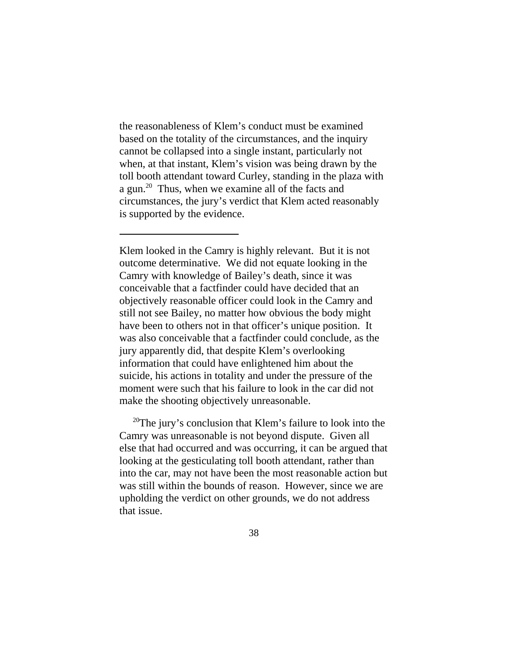the reasonableness of Klem's conduct must be examined based on the totality of the circumstances, and the inquiry cannot be collapsed into a single instant, particularly not when, at that instant, Klem's vision was being drawn by the toll booth attendant toward Curley, standing in the plaza with a gun.20 Thus, when we examine all of the facts and circumstances, the jury's verdict that Klem acted reasonably is supported by the evidence.

Klem looked in the Camry is highly relevant. But it is not outcome determinative. We did not equate looking in the Camry with knowledge of Bailey's death, since it was conceivable that a factfinder could have decided that an objectively reasonable officer could look in the Camry and still not see Bailey, no matter how obvious the body might have been to others not in that officer's unique position. It was also conceivable that a factfinder could conclude, as the jury apparently did, that despite Klem's overlooking information that could have enlightened him about the suicide, his actions in totality and under the pressure of the moment were such that his failure to look in the car did not make the shooting objectively unreasonable.

 $20$ <sup>20</sup>The jury's conclusion that Klem's failure to look into the Camry was unreasonable is not beyond dispute. Given all else that had occurred and was occurring, it can be argued that looking at the gesticulating toll booth attendant, rather than into the car, may not have been the most reasonable action but was still within the bounds of reason. However, since we are upholding the verdict on other grounds, we do not address that issue.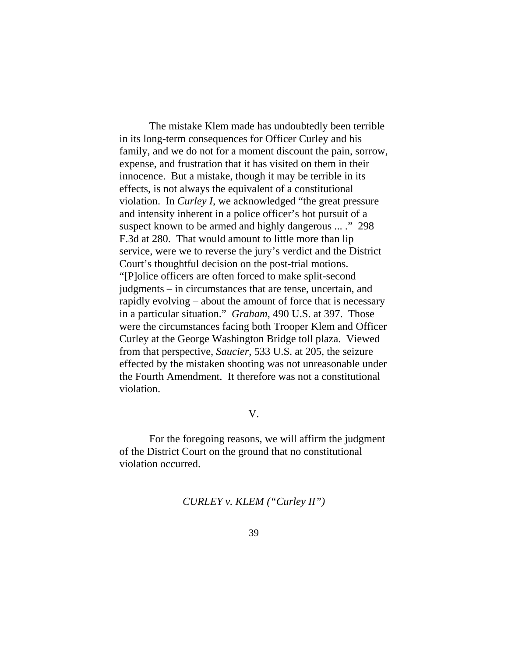The mistake Klem made has undoubtedly been terrible in its long-term consequences for Officer Curley and his family, and we do not for a moment discount the pain, sorrow, expense, and frustration that it has visited on them in their innocence. But a mistake, though it may be terrible in its effects, is not always the equivalent of a constitutional violation. In *Curley I*, we acknowledged "the great pressure and intensity inherent in a police officer's hot pursuit of a suspect known to be armed and highly dangerous ... ." 298 F.3d at 280. That would amount to little more than lip service, were we to reverse the jury's verdict and the District Court's thoughtful decision on the post-trial motions. "[P]olice officers are often forced to make split-second judgments – in circumstances that are tense, uncertain, and rapidly evolving – about the amount of force that is necessary in a particular situation." *Graham*, 490 U.S. at 397. Those were the circumstances facing both Trooper Klem and Officer Curley at the George Washington Bridge toll plaza. Viewed from that perspective, *Saucier*, 533 U.S. at 205, the seizure effected by the mistaken shooting was not unreasonable under the Fourth Amendment. It therefore was not a constitutional violation.

V.

For the foregoing reasons, we will affirm the judgment of the District Court on the ground that no constitutional violation occurred.

*CURLEY v. KLEM ("Curley II")*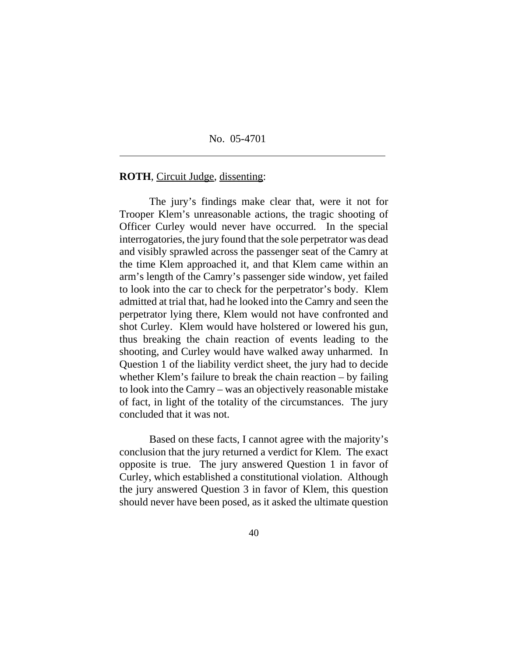#### No. 05-4701

#### **ROTH**, Circuit Judge, dissenting:

 $\overline{\phantom{a}}$ 

The jury's findings make clear that, were it not for Trooper Klem's unreasonable actions, the tragic shooting of Officer Curley would never have occurred. In the special interrogatories, the jury found that the sole perpetrator was dead and visibly sprawled across the passenger seat of the Camry at the time Klem approached it, and that Klem came within an arm's length of the Camry's passenger side window, yet failed to look into the car to check for the perpetrator's body. Klem admitted at trial that, had he looked into the Camry and seen the perpetrator lying there, Klem would not have confronted and shot Curley. Klem would have holstered or lowered his gun, thus breaking the chain reaction of events leading to the shooting, and Curley would have walked away unharmed. In Question 1 of the liability verdict sheet, the jury had to decide whether Klem's failure to break the chain reaction – by failing to look into the Camry – was an objectively reasonable mistake of fact, in light of the totality of the circumstances. The jury concluded that it was not.

Based on these facts, I cannot agree with the majority's conclusion that the jury returned a verdict for Klem. The exact opposite is true. The jury answered Question 1 in favor of Curley, which established a constitutional violation. Although the jury answered Question 3 in favor of Klem, this question should never have been posed, as it asked the ultimate question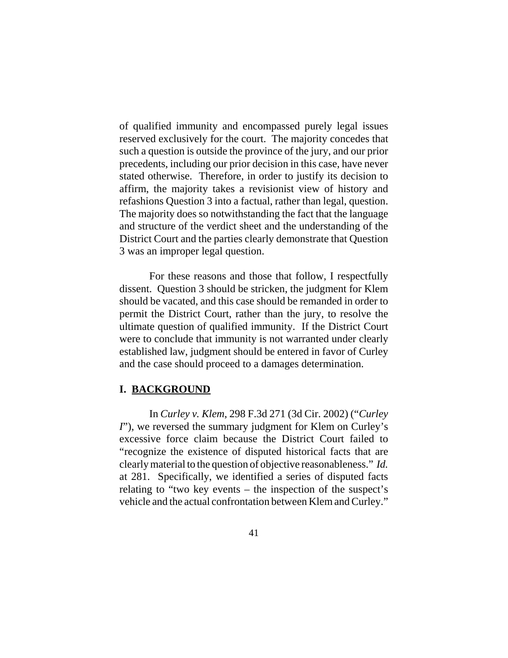of qualified immunity and encompassed purely legal issues reserved exclusively for the court. The majority concedes that such a question is outside the province of the jury, and our prior precedents, including our prior decision in this case, have never stated otherwise. Therefore, in order to justify its decision to affirm, the majority takes a revisionist view of history and refashions Question 3 into a factual, rather than legal, question. The majority does so notwithstanding the fact that the language and structure of the verdict sheet and the understanding of the District Court and the parties clearly demonstrate that Question 3 was an improper legal question.

For these reasons and those that follow, I respectfully dissent. Question 3 should be stricken, the judgment for Klem should be vacated, and this case should be remanded in order to permit the District Court, rather than the jury, to resolve the ultimate question of qualified immunity. If the District Court were to conclude that immunity is not warranted under clearly established law, judgment should be entered in favor of Curley and the case should proceed to a damages determination.

### **I. BACKGROUND**

In *Curley v. Klem*, 298 F.3d 271 (3d Cir. 2002) ("*Curley I*"), we reversed the summary judgment for Klem on Curley's excessive force claim because the District Court failed to "recognize the existence of disputed historical facts that are clearly material to the question of objective reasonableness." *Id.* at 281. Specifically, we identified a series of disputed facts relating to "two key events – the inspection of the suspect's vehicle and the actual confrontation between Klem and Curley."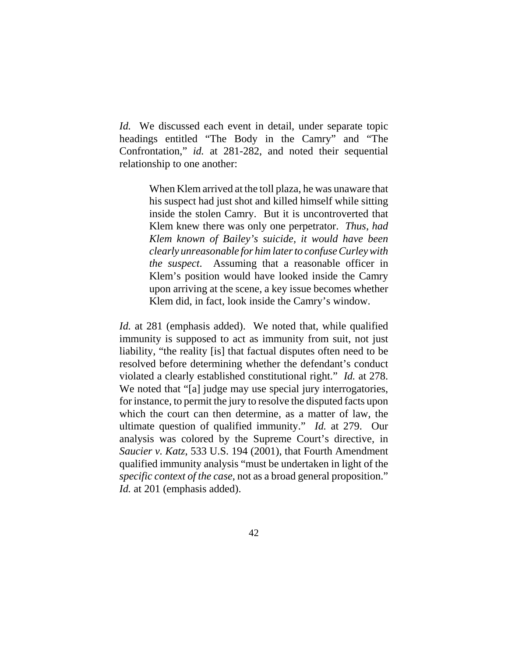*Id.* We discussed each event in detail, under separate topic headings entitled "The Body in the Camry" and "The Confrontation," *id.* at 281-282, and noted their sequential relationship to one another:

> When Klem arrived at the toll plaza, he was unaware that his suspect had just shot and killed himself while sitting inside the stolen Camry. But it is uncontroverted that Klem knew there was only one perpetrator. *Thus, had Klem known of Bailey's suicide, it would have been clearly unreasonable for him later to confuse Curley with the suspect*. Assuming that a reasonable officer in Klem's position would have looked inside the Camry upon arriving at the scene, a key issue becomes whether Klem did, in fact, look inside the Camry's window.

*Id.* at 281 (emphasis added). We noted that, while qualified immunity is supposed to act as immunity from suit, not just liability, "the reality [is] that factual disputes often need to be resolved before determining whether the defendant's conduct violated a clearly established constitutional right." *Id.* at 278. We noted that "[a] judge may use special jury interrogatories, for instance, to permit the jury to resolve the disputed facts upon which the court can then determine, as a matter of law, the ultimate question of qualified immunity." *Id.* at 279. Our analysis was colored by the Supreme Court's directive, in *Saucier v. Katz*, 533 U.S. 194 (2001), that Fourth Amendment qualified immunity analysis "must be undertaken in light of the *specific context of the case*, not as a broad general proposition." *Id.* at 201 (emphasis added).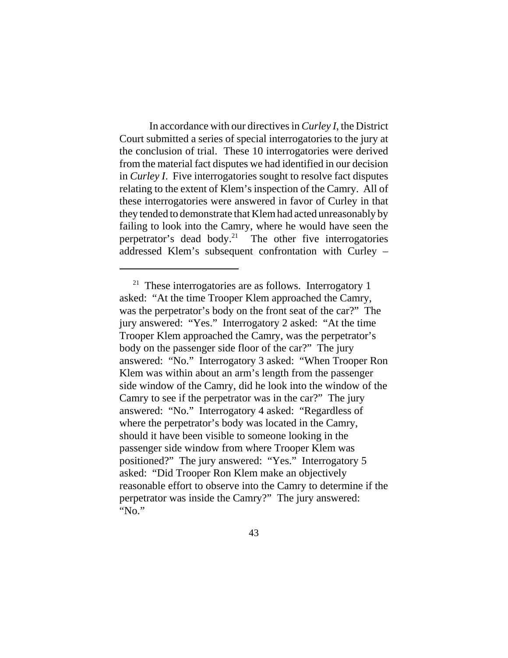In accordance with our directives in *Curley I*, the District Court submitted a series of special interrogatories to the jury at the conclusion of trial. These 10 interrogatories were derived from the material fact disputes we had identified in our decision in *Curley I*. Five interrogatories sought to resolve fact disputes relating to the extent of Klem's inspection of the Camry. All of these interrogatories were answered in favor of Curley in that they tended to demonstrate that Klem had acted unreasonably by failing to look into the Camry, where he would have seen the perpetrator's dead body.<sup>21</sup> The other five interrogatories addressed Klem's subsequent confrontation with Curley –

 $21$  These interrogatories are as follows. Interrogatory 1 asked: "At the time Trooper Klem approached the Camry, was the perpetrator's body on the front seat of the car?" The jury answered: "Yes." Interrogatory 2 asked: "At the time Trooper Klem approached the Camry, was the perpetrator's body on the passenger side floor of the car?" The jury answered: "No." Interrogatory 3 asked: "When Trooper Ron Klem was within about an arm's length from the passenger side window of the Camry, did he look into the window of the Camry to see if the perpetrator was in the car?" The jury answered: "No." Interrogatory 4 asked: "Regardless of where the perpetrator's body was located in the Camry, should it have been visible to someone looking in the passenger side window from where Trooper Klem was positioned?" The jury answered: "Yes." Interrogatory 5 asked: "Did Trooper Ron Klem make an objectively reasonable effort to observe into the Camry to determine if the perpetrator was inside the Camry?" The jury answered: "No."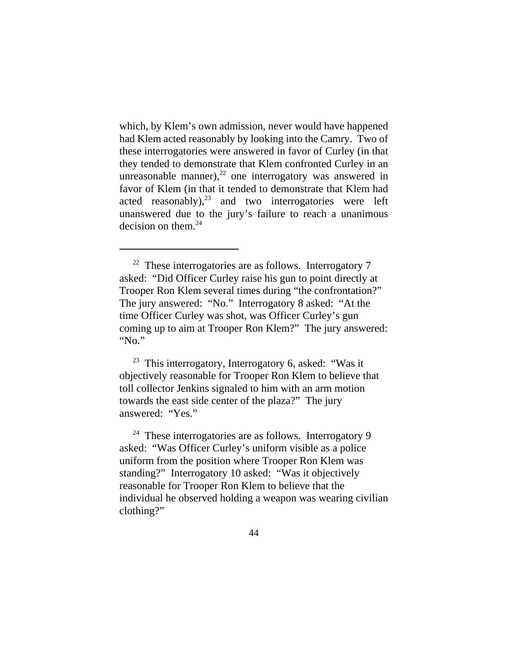which, by Klem's own admission, never would have happened had Klem acted reasonably by looking into the Camry. Two of these interrogatories were answered in favor of Curley (in that they tended to demonstrate that Klem confronted Curley in an unreasonable manner), $^{22}$  one interrogatory was answered in favor of Klem (in that it tended to demonstrate that Klem had acted reasonably), $^{23}$  and two interrogatories were left unanswered due to the jury's failure to reach a unanimous decision on them. $^{24}$ 

<sup>23</sup> This interrogatory, Interrogatory 6, asked: "Was it objectively reasonable for Trooper Ron Klem to believe that toll collector Jenkins signaled to him with an arm motion towards the east side center of the plaza?" The jury answered: "Yes."

 $24$  These interrogatories are as follows. Interrogatory 9 asked: "Was Officer Curley's uniform visible as a police uniform from the position where Trooper Ron Klem was standing?" Interrogatory 10 asked: "Was it objectively reasonable for Trooper Ron Klem to believe that the individual he observed holding a weapon was wearing civilian clothing?"

 $22$  These interrogatories are as follows. Interrogatory 7 asked: "Did Officer Curley raise his gun to point directly at Trooper Ron Klem several times during "the confrontation?" The jury answered: "No." Interrogatory 8 asked: "At the time Officer Curley was shot, was Officer Curley's gun coming up to aim at Trooper Ron Klem?" The jury answered: "No."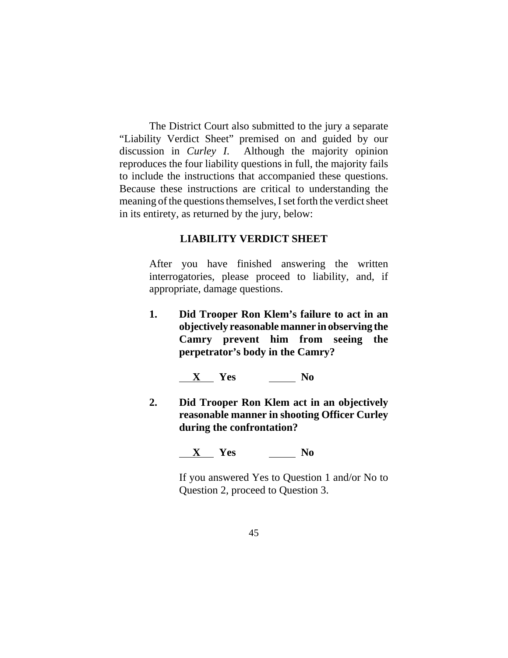The District Court also submitted to the jury a separate "Liability Verdict Sheet" premised on and guided by our discussion in *Curley I*. Although the majority opinion reproduces the four liability questions in full, the majority fails to include the instructions that accompanied these questions. Because these instructions are critical to understanding the meaning of the questions themselves, I set forth the verdict sheet in its entirety, as returned by the jury, below:

## **LIABILITY VERDICT SHEET**

After you have finished answering the written interrogatories, please proceed to liability, and, if appropriate, damage questions.

**1. Did Trooper Ron Klem's failure to act in an objectively reasonable manner in observing the Camry prevent him from seeing the perpetrator's body in the Camry?**

**x** Yes No

**2. Did Trooper Ron Klem act in an objectively reasonable manner in shooting Officer Curley during the confrontation?**

## **X Yes No**

If you answered Yes to Question 1 and/or No to Question 2, proceed to Question 3.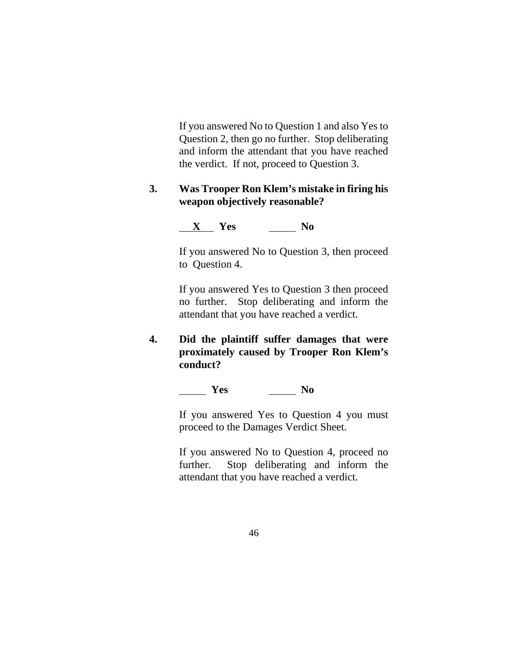If you answered No to Question 1 and also Yes to Question 2, then go no further. Stop deliberating and inform the attendant that you have reached the verdict. If not, proceed to Question 3.

## **3. Was Trooper Ron Klem's mistake in firing his weapon objectively reasonable?**

## **X Yes No**

If you answered No to Question 3, then proceed to Question 4.

If you answered Yes to Question 3 then proceed no further. Stop deliberating and inform the attendant that you have reached a verdict.

**4. Did the plaintiff suffer damages that were proximately caused by Trooper Ron Klem's conduct?**

# *Mes* No

If you answered Yes to Question 4 you must proceed to the Damages Verdict Sheet.

If you answered No to Question 4, proceed no further. Stop deliberating and inform the attendant that you have reached a verdict.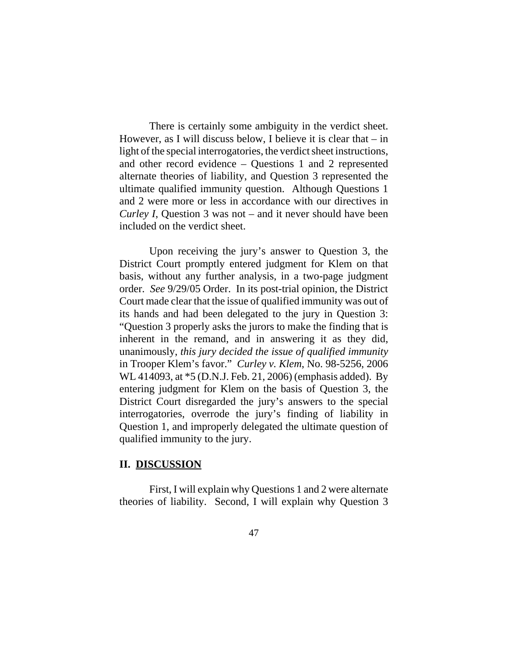There is certainly some ambiguity in the verdict sheet. However, as I will discuss below, I believe it is clear that  $-$  in light of the special interrogatories, the verdict sheet instructions, and other record evidence – Questions 1 and 2 represented alternate theories of liability, and Question 3 represented the ultimate qualified immunity question. Although Questions 1 and 2 were more or less in accordance with our directives in *Curley I*, Question 3 was not – and it never should have been included on the verdict sheet.

Upon receiving the jury's answer to Question 3, the District Court promptly entered judgment for Klem on that basis, without any further analysis, in a two-page judgment order. *See* 9/29/05 Order. In its post-trial opinion, the District Court made clear that the issue of qualified immunity was out of its hands and had been delegated to the jury in Question 3: "Question 3 properly asks the jurors to make the finding that is inherent in the remand, and in answering it as they did, unanimously, *this jury decided the issue of qualified immunity* in Trooper Klem's favor." *Curley v. Klem*, No. 98-5256, 2006 WL 414093, at \*5 (D.N.J. Feb. 21, 2006) (emphasis added). By entering judgment for Klem on the basis of Question 3, the District Court disregarded the jury's answers to the special interrogatories, overrode the jury's finding of liability in Question 1, and improperly delegated the ultimate question of qualified immunity to the jury.

### **II. DISCUSSION**

First, I will explain why Questions 1 and 2 were alternate theories of liability. Second, I will explain why Question 3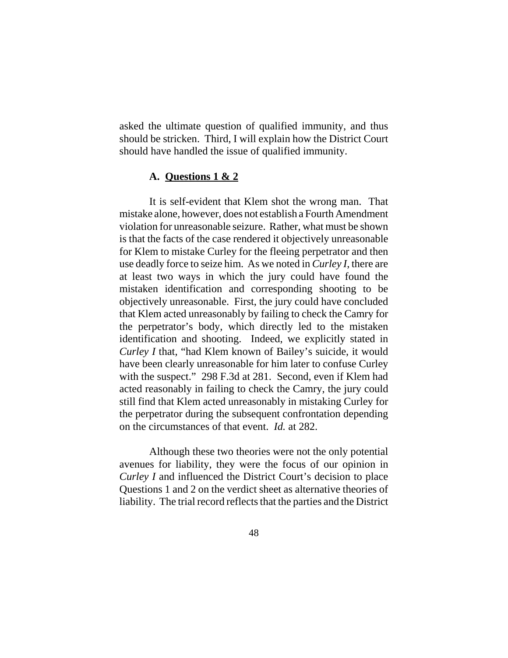asked the ultimate question of qualified immunity, and thus should be stricken. Third, I will explain how the District Court should have handled the issue of qualified immunity.

### **A. Questions 1 & 2**

It is self-evident that Klem shot the wrong man. That mistake alone, however, does not establish a Fourth Amendment violation for unreasonable seizure. Rather, what must be shown is that the facts of the case rendered it objectively unreasonable for Klem to mistake Curley for the fleeing perpetrator and then use deadly force to seize him. As we noted in *Curley I*, there are at least two ways in which the jury could have found the mistaken identification and corresponding shooting to be objectively unreasonable. First, the jury could have concluded that Klem acted unreasonably by failing to check the Camry for the perpetrator's body, which directly led to the mistaken identification and shooting. Indeed, we explicitly stated in *Curley I* that, "had Klem known of Bailey's suicide, it would have been clearly unreasonable for him later to confuse Curley with the suspect." 298 F.3d at 281. Second, even if Klem had acted reasonably in failing to check the Camry, the jury could still find that Klem acted unreasonably in mistaking Curley for the perpetrator during the subsequent confrontation depending on the circumstances of that event. *Id.* at 282.

Although these two theories were not the only potential avenues for liability, they were the focus of our opinion in *Curley I* and influenced the District Court's decision to place Questions 1 and 2 on the verdict sheet as alternative theories of liability. The trial record reflects that the parties and the District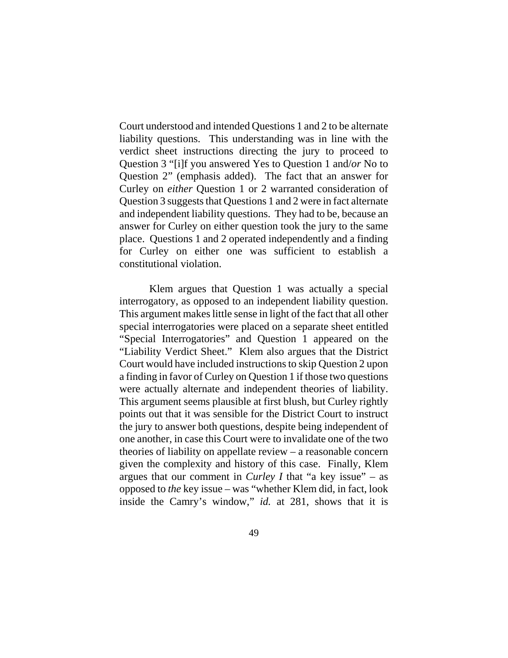Court understood and intended Questions 1 and 2 to be alternate liability questions. This understanding was in line with the verdict sheet instructions directing the jury to proceed to Question 3 "[i]f you answered Yes to Question 1 and/*or* No to Question 2" (emphasis added). The fact that an answer for Curley on *either* Question 1 or 2 warranted consideration of Question 3 suggests that Questions 1 and 2 were in fact alternate and independent liability questions. They had to be, because an answer for Curley on either question took the jury to the same place. Questions 1 and 2 operated independently and a finding for Curley on either one was sufficient to establish a constitutional violation.

Klem argues that Question 1 was actually a special interrogatory, as opposed to an independent liability question. This argument makes little sense in light of the fact that all other special interrogatories were placed on a separate sheet entitled "Special Interrogatories" and Question 1 appeared on the "Liability Verdict Sheet." Klem also argues that the District Court would have included instructions to skip Question 2 upon a finding in favor of Curley on Question 1 if those two questions were actually alternate and independent theories of liability. This argument seems plausible at first blush, but Curley rightly points out that it was sensible for the District Court to instruct the jury to answer both questions, despite being independent of one another, in case this Court were to invalidate one of the two theories of liability on appellate review – a reasonable concern given the complexity and history of this case. Finally, Klem argues that our comment in *Curley I* that "a key issue" – as opposed to *the* key issue – was "whether Klem did, in fact, look inside the Camry's window," *id.* at 281, shows that it is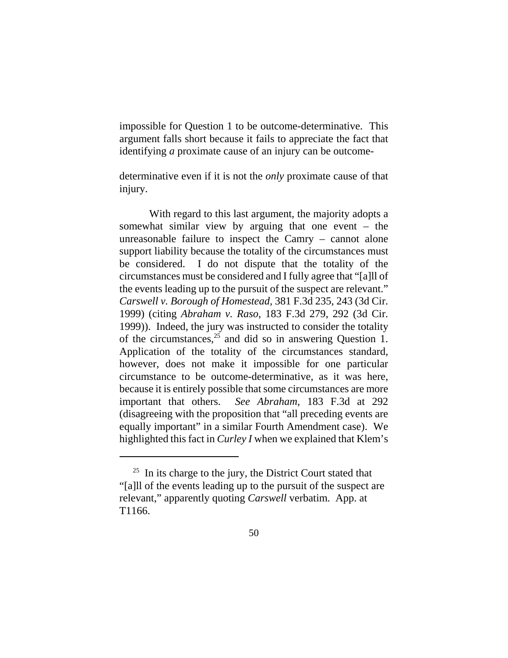impossible for Question 1 to be outcome-determinative. This argument falls short because it fails to appreciate the fact that identifying *a* proximate cause of an injury can be outcome-

determinative even if it is not the *only* proximate cause of that injury.

With regard to this last argument, the majority adopts a somewhat similar view by arguing that one event – the unreasonable failure to inspect the Camry – cannot alone support liability because the totality of the circumstances must be considered. I do not dispute that the totality of the circumstances must be considered and I fully agree that "[a]ll of the events leading up to the pursuit of the suspect are relevant." *Carswell v. Borough of Homestead,* 381 F.3d 235, 243 (3d Cir. 1999) (citing *Abraham v. Raso*, 183 F.3d 279, 292 (3d Cir. 1999)). Indeed, the jury was instructed to consider the totality of the circumstances,  $2^5$  and did so in answering Question 1. Application of the totality of the circumstances standard, however, does not make it impossible for one particular circumstance to be outcome-determinative, as it was here, because it is entirely possible that some circumstances are more important that others. *See Abraham*, 183 F.3d at 292 (disagreeing with the proposition that "all preceding events are equally important" in a similar Fourth Amendment case). We highlighted this fact in *Curley I* when we explained that Klem's

 $25$  In its charge to the jury, the District Court stated that "[a]ll of the events leading up to the pursuit of the suspect are relevant," apparently quoting *Carswell* verbatim. App. at T1166.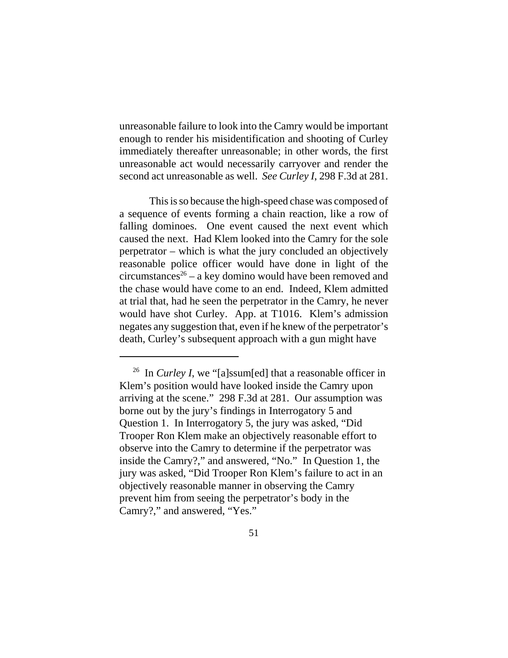unreasonable failure to look into the Camry would be important enough to render his misidentification and shooting of Curley immediately thereafter unreasonable; in other words, the first unreasonable act would necessarily carryover and render the second act unreasonable as well. *See Curley I*, 298 F.3d at 281.

This is so because the high-speed chase was composed of a sequence of events forming a chain reaction, like a row of falling dominoes. One event caused the next event which caused the next. Had Klem looked into the Camry for the sole perpetrator – which is what the jury concluded an objectively reasonable police officer would have done in light of the circumstances<sup>26</sup> – a key domino would have been removed and the chase would have come to an end. Indeed, Klem admitted at trial that, had he seen the perpetrator in the Camry, he never would have shot Curley. App. at T1016. Klem's admission negates any suggestion that, even if he knew of the perpetrator's death, Curley's subsequent approach with a gun might have

<sup>&</sup>lt;sup>26</sup> In *Curley I*, we "[a]ssum[ed] that a reasonable officer in Klem's position would have looked inside the Camry upon arriving at the scene." 298 F.3d at 281. Our assumption was borne out by the jury's findings in Interrogatory 5 and Question 1. In Interrogatory 5, the jury was asked, "Did Trooper Ron Klem make an objectively reasonable effort to observe into the Camry to determine if the perpetrator was inside the Camry?," and answered, "No." In Question 1, the jury was asked, "Did Trooper Ron Klem's failure to act in an objectively reasonable manner in observing the Camry prevent him from seeing the perpetrator's body in the Camry?," and answered, "Yes."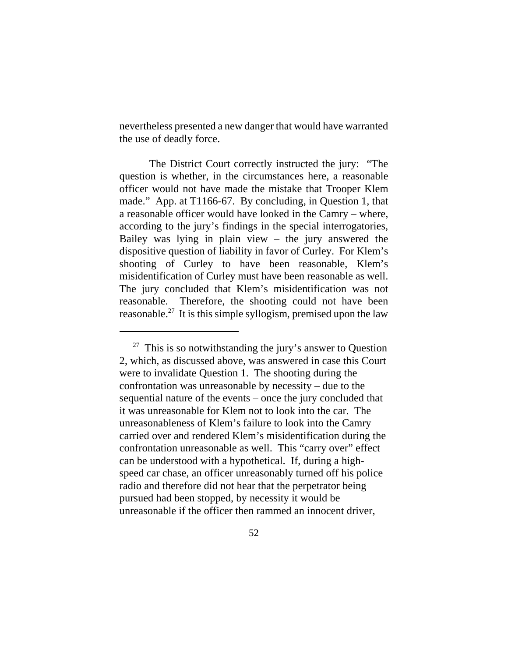nevertheless presented a new danger that would have warranted the use of deadly force.

The District Court correctly instructed the jury: "The question is whether, in the circumstances here, a reasonable officer would not have made the mistake that Trooper Klem made." App. at T1166-67. By concluding, in Question 1, that a reasonable officer would have looked in the Camry – where, according to the jury's findings in the special interrogatories, Bailey was lying in plain view – the jury answered the dispositive question of liability in favor of Curley. For Klem's shooting of Curley to have been reasonable, Klem's misidentification of Curley must have been reasonable as well. The jury concluded that Klem's misidentification was not reasonable. Therefore, the shooting could not have been reasonable.<sup>27</sup> It is this simple syllogism, premised upon the law

 $27$  This is so notwithstanding the jury's answer to Question 2, which, as discussed above, was answered in case this Court were to invalidate Question 1. The shooting during the confrontation was unreasonable by necessity – due to the sequential nature of the events – once the jury concluded that it was unreasonable for Klem not to look into the car. The unreasonableness of Klem's failure to look into the Camry carried over and rendered Klem's misidentification during the confrontation unreasonable as well. This "carry over" effect can be understood with a hypothetical. If, during a highspeed car chase, an officer unreasonably turned off his police radio and therefore did not hear that the perpetrator being pursued had been stopped, by necessity it would be unreasonable if the officer then rammed an innocent driver,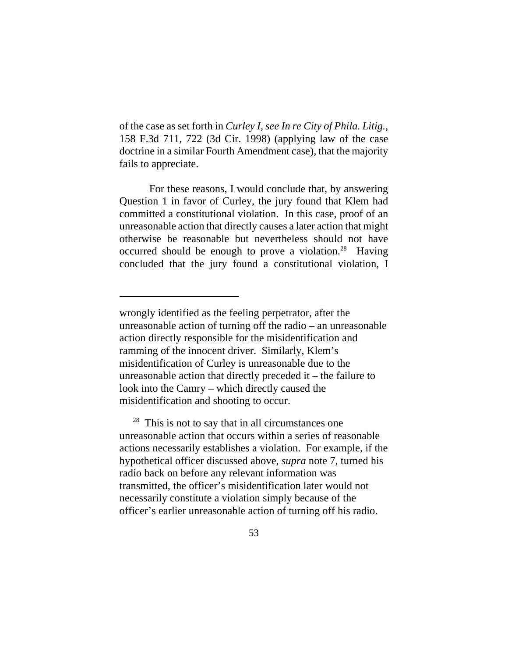of the case as set forth in *Curley I*, *see In re City of Phila. Litig.*, 158 F.3d 711, 722 (3d Cir. 1998) (applying law of the case doctrine in a similar Fourth Amendment case), that the majority fails to appreciate.

For these reasons, I would conclude that, by answering Question 1 in favor of Curley, the jury found that Klem had committed a constitutional violation. In this case, proof of an unreasonable action that directly causes a later action that might otherwise be reasonable but nevertheless should not have occurred should be enough to prove a violation.<sup>28</sup> Having concluded that the jury found a constitutional violation, I

 $28$  This is not to say that in all circumstances one unreasonable action that occurs within a series of reasonable actions necessarily establishes a violation. For example, if the hypothetical officer discussed above, *supra* note 7, turned his radio back on before any relevant information was transmitted, the officer's misidentification later would not necessarily constitute a violation simply because of the officer's earlier unreasonable action of turning off his radio.

wrongly identified as the feeling perpetrator, after the unreasonable action of turning off the radio – an unreasonable action directly responsible for the misidentification and ramming of the innocent driver. Similarly, Klem's misidentification of Curley is unreasonable due to the unreasonable action that directly preceded it – the failure to look into the Camry – which directly caused the misidentification and shooting to occur.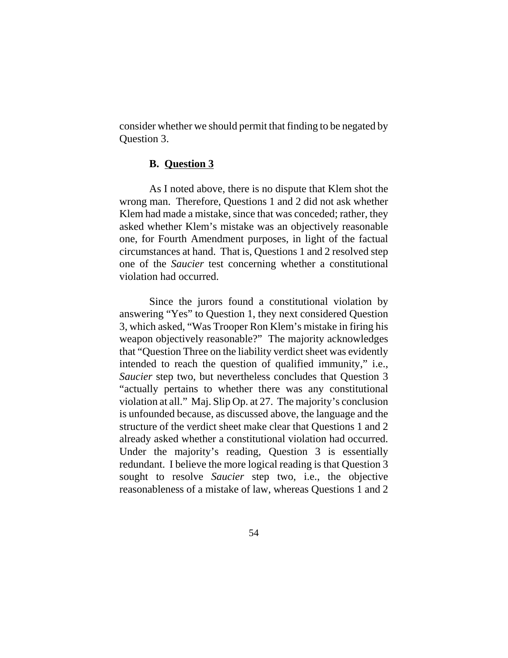consider whether we should permit that finding to be negated by Question 3.

## **B. Question 3**

As I noted above, there is no dispute that Klem shot the wrong man. Therefore, Questions 1 and 2 did not ask whether Klem had made a mistake, since that was conceded; rather, they asked whether Klem's mistake was an objectively reasonable one, for Fourth Amendment purposes, in light of the factual circumstances at hand. That is, Questions 1 and 2 resolved step one of the *Saucier* test concerning whether a constitutional violation had occurred.

Since the jurors found a constitutional violation by answering "Yes" to Question 1, they next considered Question 3, which asked, "Was Trooper Ron Klem's mistake in firing his weapon objectively reasonable?" The majority acknowledges that "Question Three on the liability verdict sheet was evidently intended to reach the question of qualified immunity," i.e., *Saucier* step two, but nevertheless concludes that Question 3 "actually pertains to whether there was any constitutional violation at all." Maj. Slip Op. at 27. The majority's conclusion is unfounded because, as discussed above, the language and the structure of the verdict sheet make clear that Questions 1 and 2 already asked whether a constitutional violation had occurred. Under the majority's reading, Question 3 is essentially redundant. I believe the more logical reading is that Question 3 sought to resolve *Saucier* step two, i.e., the objective reasonableness of a mistake of law, whereas Questions 1 and 2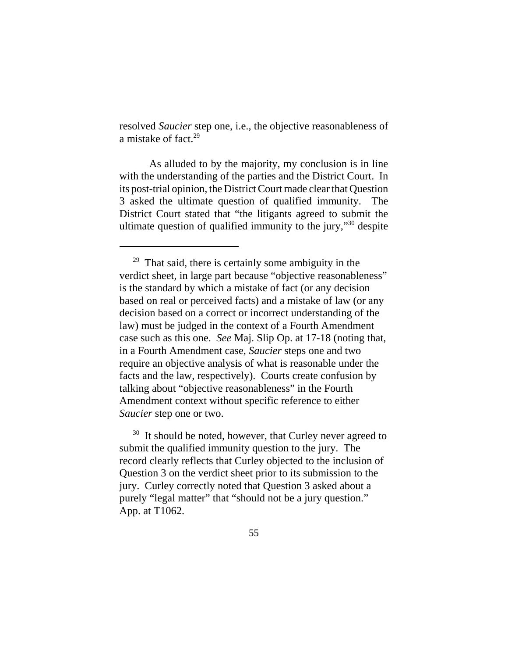resolved *Saucier* step one, i.e., the objective reasonableness of a mistake of fact.29

As alluded to by the majority, my conclusion is in line with the understanding of the parties and the District Court. In its post-trial opinion, the District Court made clear that Question 3 asked the ultimate question of qualified immunity. The District Court stated that "the litigants agreed to submit the ultimate question of qualified immunity to the jury,"30 despite

 $29$  That said, there is certainly some ambiguity in the verdict sheet, in large part because "objective reasonableness" is the standard by which a mistake of fact (or any decision based on real or perceived facts) and a mistake of law (or any decision based on a correct or incorrect understanding of the law) must be judged in the context of a Fourth Amendment case such as this one. *See* Maj. Slip Op. at 17-18 (noting that, in a Fourth Amendment case, *Saucier* steps one and two require an objective analysis of what is reasonable under the facts and the law, respectively). Courts create confusion by talking about "objective reasonableness" in the Fourth Amendment context without specific reference to either *Saucier* step one or two.

<sup>&</sup>lt;sup>30</sup> It should be noted, however, that Curley never agreed to submit the qualified immunity question to the jury. The record clearly reflects that Curley objected to the inclusion of Question 3 on the verdict sheet prior to its submission to the jury. Curley correctly noted that Question 3 asked about a purely "legal matter" that "should not be a jury question." App. at T1062.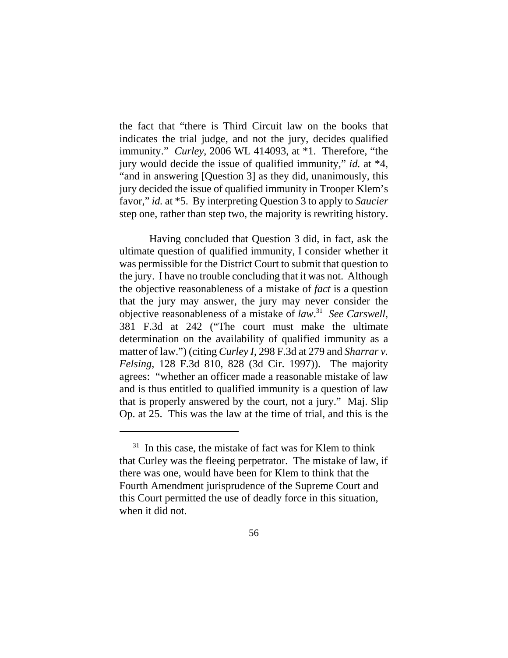the fact that "there is Third Circuit law on the books that indicates the trial judge, and not the jury, decides qualified immunity." *Curley*, 2006 WL 414093, at \*1. Therefore, "the jury would decide the issue of qualified immunity," *id.* at \*4, "and in answering [Question 3] as they did, unanimously, this jury decided the issue of qualified immunity in Trooper Klem's favor," *id.* at \*5. By interpreting Question 3 to apply to *Saucier* step one, rather than step two, the majority is rewriting history.

Having concluded that Question 3 did, in fact, ask the ultimate question of qualified immunity, I consider whether it was permissible for the District Court to submit that question to the jury. I have no trouble concluding that it was not. Although the objective reasonableness of a mistake of *fact* is a question that the jury may answer, the jury may never consider the objective reasonableness of a mistake of *law*. 31 *See Carswell*, 381 F.3d at 242 ("The court must make the ultimate determination on the availability of qualified immunity as a matter of law.") (citing *Curley I*, 298 F.3d at 279 and *Sharrar v. Felsing*, 128 F.3d 810, 828 (3d Cir. 1997)). The majority agrees: "whether an officer made a reasonable mistake of law and is thus entitled to qualified immunity is a question of law that is properly answered by the court, not a jury." Maj. Slip Op. at 25. This was the law at the time of trial, and this is the

 $31$  In this case, the mistake of fact was for Klem to think that Curley was the fleeing perpetrator. The mistake of law, if there was one, would have been for Klem to think that the Fourth Amendment jurisprudence of the Supreme Court and this Court permitted the use of deadly force in this situation, when it did not.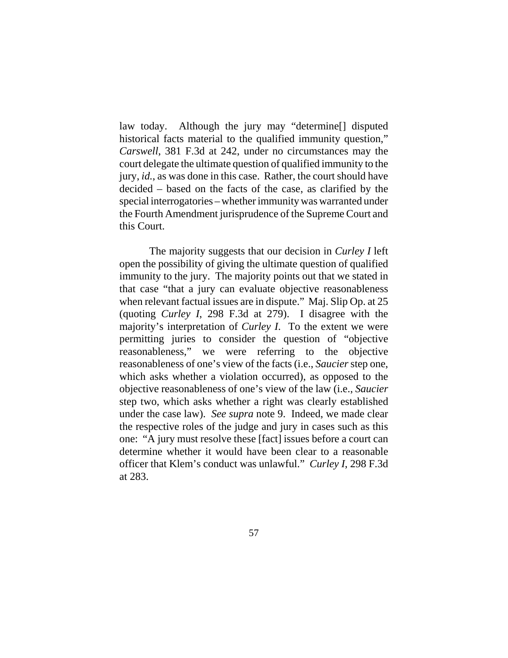law today. Although the jury may "determine[] disputed historical facts material to the qualified immunity question," *Carswell*, 381 F.3d at 242, under no circumstances may the court delegate the ultimate question of qualified immunity to the jury, *id.*, as was done in this case. Rather, the court should have decided – based on the facts of the case, as clarified by the special interrogatories – whether immunity was warranted under the Fourth Amendment jurisprudence of the Supreme Court and this Court.

The majority suggests that our decision in *Curley I* left open the possibility of giving the ultimate question of qualified immunity to the jury. The majority points out that we stated in that case "that a jury can evaluate objective reasonableness when relevant factual issues are in dispute." Maj. Slip Op. at 25 (quoting *Curley I*, 298 F.3d at 279). I disagree with the majority's interpretation of *Curley I*. To the extent we were permitting juries to consider the question of "objective reasonableness," we were referring to the objective reasonableness of one's view of the facts (i.e., *Saucier* step one, which asks whether a violation occurred), as opposed to the objective reasonableness of one's view of the law (i.e., *Saucier* step two, which asks whether a right was clearly established under the case law). *See supra* note 9. Indeed, we made clear the respective roles of the judge and jury in cases such as this one: "A jury must resolve these [fact] issues before a court can determine whether it would have been clear to a reasonable officer that Klem's conduct was unlawful." *Curley I*, 298 F.3d at 283.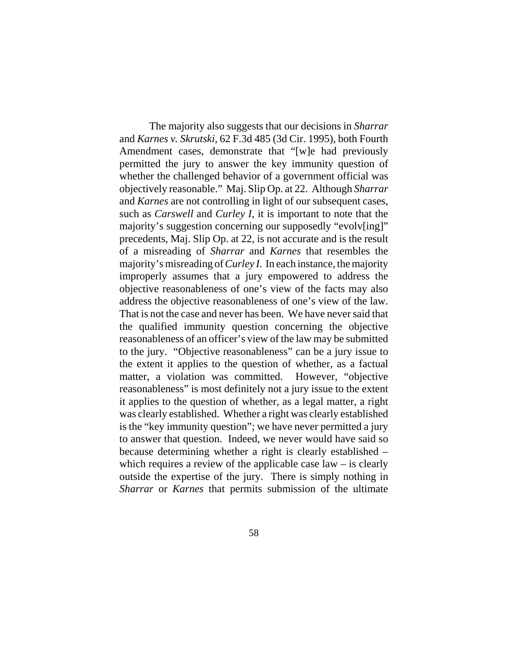The majority also suggests that our decisions in *Sharrar* and *Karnes v. Skrutski*, 62 F.3d 485 (3d Cir. 1995), both Fourth Amendment cases, demonstrate that "[w]e had previously permitted the jury to answer the key immunity question of whether the challenged behavior of a government official was objectively reasonable." Maj. Slip Op. at 22. Although *Sharrar* and *Karnes* are not controlling in light of our subsequent cases, such as *Carswell* and *Curley I*, it is important to note that the majority's suggestion concerning our supposedly "evolv[ing]" precedents, Maj. Slip Op. at 22, is not accurate and is the result of a misreading of *Sharrar* and *Karnes* that resembles the majority's misreading of *Curley I*. In each instance, the majority improperly assumes that a jury empowered to address the objective reasonableness of one's view of the facts may also address the objective reasonableness of one's view of the law. That is not the case and never has been. We have never said that the qualified immunity question concerning the objective reasonableness of an officer's view of the law may be submitted to the jury. "Objective reasonableness" can be a jury issue to the extent it applies to the question of whether, as a factual matter, a violation was committed. However, "objective reasonableness" is most definitely not a jury issue to the extent it applies to the question of whether, as a legal matter, a right was clearly established. Whether a right was clearly established is the "key immunity question"; we have never permitted a jury to answer that question. Indeed, we never would have said so because determining whether a right is clearly established – which requires a review of the applicable case  $law - is clearly$ outside the expertise of the jury. There is simply nothing in *Sharrar* or *Karnes* that permits submission of the ultimate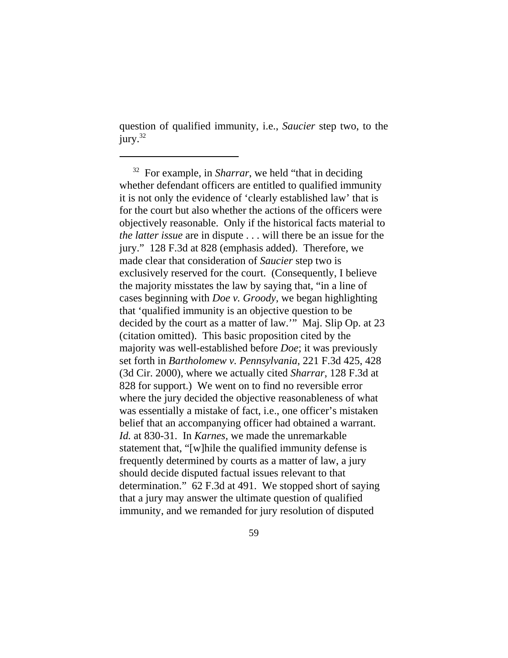question of qualified immunity, i.e., *Saucier* step two, to the jury.<sup>32</sup>

 32 For example, in *Sharrar*, we held "that in deciding whether defendant officers are entitled to qualified immunity it is not only the evidence of 'clearly established law' that is for the court but also whether the actions of the officers were objectively reasonable. Only if the historical facts material to *the latter issue* are in dispute . . . will there be an issue for the jury." 128 F.3d at 828 (emphasis added). Therefore, we made clear that consideration of *Saucier* step two is exclusively reserved for the court. (Consequently, I believe the majority misstates the law by saying that, "in a line of cases beginning with *Doe v. Groody*, we began highlighting that 'qualified immunity is an objective question to be decided by the court as a matter of law.'" Maj. Slip Op. at 23 (citation omitted). This basic proposition cited by the majority was well-established before *Doe*; it was previously set forth in *Bartholomew v. Pennsylvania*, 221 F.3d 425, 428 (3d Cir. 2000), where we actually cited *Sharrar*, 128 F.3d at 828 for support.) We went on to find no reversible error where the jury decided the objective reasonableness of what was essentially a mistake of fact, i.e., one officer's mistaken belief that an accompanying officer had obtained a warrant. *Id.* at 830-31. In *Karnes*, we made the unremarkable statement that, "[w]hile the qualified immunity defense is frequently determined by courts as a matter of law, a jury should decide disputed factual issues relevant to that determination." 62 F.3d at 491. We stopped short of saying that a jury may answer the ultimate question of qualified immunity, and we remanded for jury resolution of disputed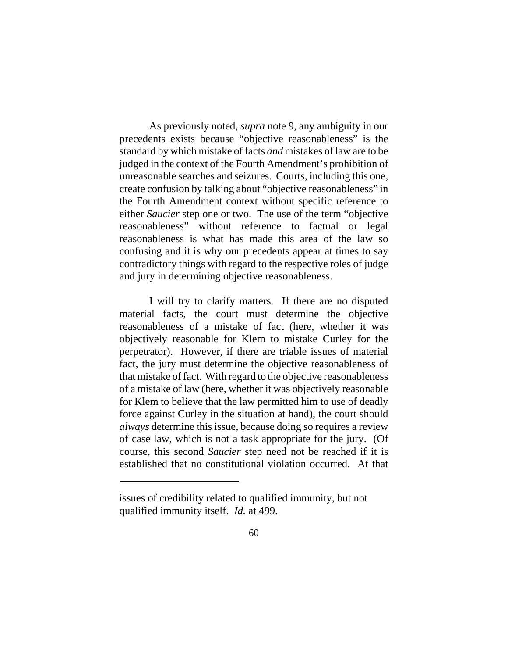As previously noted, *supra* note 9, any ambiguity in our precedents exists because "objective reasonableness" is the standard by which mistake of facts *and* mistakes of law are to be judged in the context of the Fourth Amendment's prohibition of unreasonable searches and seizures. Courts, including this one, create confusion by talking about "objective reasonableness" in the Fourth Amendment context without specific reference to either *Saucier* step one or two. The use of the term "objective reasonableness" without reference to factual or legal reasonableness is what has made this area of the law so confusing and it is why our precedents appear at times to say contradictory things with regard to the respective roles of judge and jury in determining objective reasonableness.

I will try to clarify matters. If there are no disputed material facts, the court must determine the objective reasonableness of a mistake of fact (here, whether it was objectively reasonable for Klem to mistake Curley for the perpetrator). However, if there are triable issues of material fact, the jury must determine the objective reasonableness of that mistake of fact. With regard to the objective reasonableness of a mistake of law (here, whether it was objectively reasonable for Klem to believe that the law permitted him to use of deadly force against Curley in the situation at hand), the court should *always* determine this issue, because doing so requires a review of case law, which is not a task appropriate for the jury. (Of course, this second *Saucier* step need not be reached if it is established that no constitutional violation occurred. At that

issues of credibility related to qualified immunity, but not qualified immunity itself. *Id.* at 499.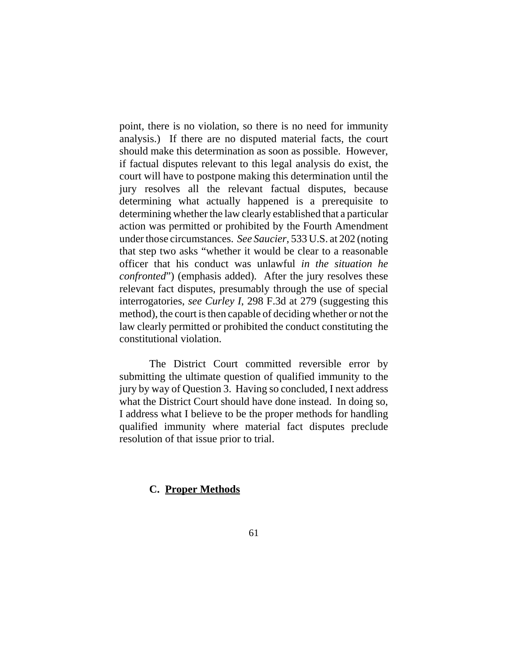point, there is no violation, so there is no need for immunity analysis.) If there are no disputed material facts, the court should make this determination as soon as possible. However, if factual disputes relevant to this legal analysis do exist, the court will have to postpone making this determination until the jury resolves all the relevant factual disputes, because determining what actually happened is a prerequisite to determining whether the law clearly established that a particular action was permitted or prohibited by the Fourth Amendment under those circumstances. *See Saucier*, 533 U.S. at 202 (noting that step two asks "whether it would be clear to a reasonable officer that his conduct was unlawful *in the situation he confronted*") (emphasis added). After the jury resolves these relevant fact disputes, presumably through the use of special interrogatories, *see Curley I*, 298 F.3d at 279 (suggesting this method), the court is then capable of deciding whether or not the law clearly permitted or prohibited the conduct constituting the constitutional violation.

The District Court committed reversible error by submitting the ultimate question of qualified immunity to the jury by way of Question 3. Having so concluded, I next address what the District Court should have done instead. In doing so, I address what I believe to be the proper methods for handling qualified immunity where material fact disputes preclude resolution of that issue prior to trial.

### **C. Proper Methods**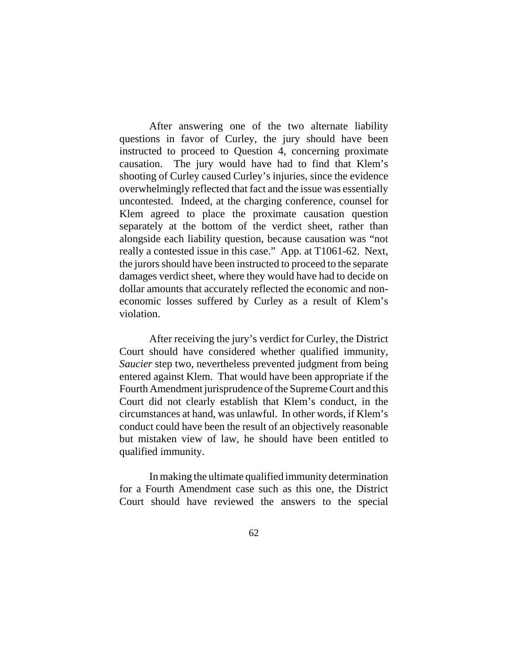After answering one of the two alternate liability questions in favor of Curley, the jury should have been instructed to proceed to Question 4, concerning proximate causation. The jury would have had to find that Klem's shooting of Curley caused Curley's injuries, since the evidence overwhelmingly reflected that fact and the issue was essentially uncontested. Indeed, at the charging conference, counsel for Klem agreed to place the proximate causation question separately at the bottom of the verdict sheet, rather than alongside each liability question, because causation was "not really a contested issue in this case." App. at T1061-62. Next, the jurors should have been instructed to proceed to the separate damages verdict sheet, where they would have had to decide on dollar amounts that accurately reflected the economic and noneconomic losses suffered by Curley as a result of Klem's violation.

After receiving the jury's verdict for Curley, the District Court should have considered whether qualified immunity, *Saucier* step two, nevertheless prevented judgment from being entered against Klem. That would have been appropriate if the Fourth Amendment jurisprudence of the Supreme Court and this Court did not clearly establish that Klem's conduct, in the circumstances at hand, was unlawful. In other words, if Klem's conduct could have been the result of an objectively reasonable but mistaken view of law, he should have been entitled to qualified immunity.

In making the ultimate qualified immunity determination for a Fourth Amendment case such as this one, the District Court should have reviewed the answers to the special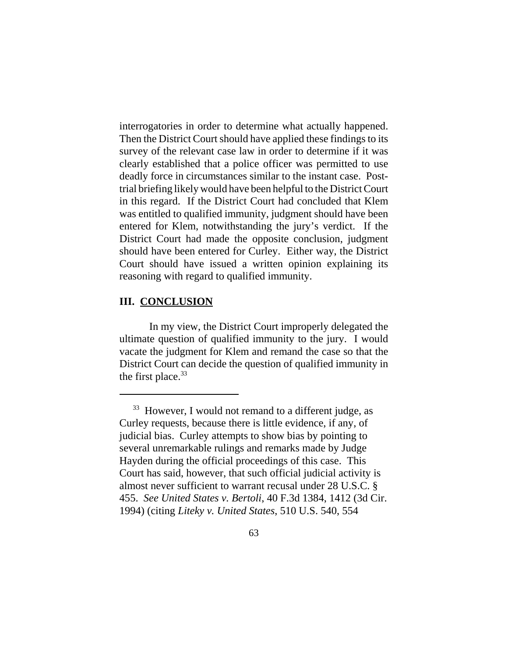interrogatories in order to determine what actually happened. Then the District Court should have applied these findings to its survey of the relevant case law in order to determine if it was clearly established that a police officer was permitted to use deadly force in circumstances similar to the instant case. Posttrial briefing likely would have been helpful to the District Court in this regard. If the District Court had concluded that Klem was entitled to qualified immunity, judgment should have been entered for Klem, notwithstanding the jury's verdict. If the District Court had made the opposite conclusion, judgment should have been entered for Curley. Either way, the District Court should have issued a written opinion explaining its reasoning with regard to qualified immunity.

## **III. CONCLUSION**

In my view, the District Court improperly delegated the ultimate question of qualified immunity to the jury. I would vacate the judgment for Klem and remand the case so that the District Court can decide the question of qualified immunity in the first place. $33$ 

 $33$  However, I would not remand to a different judge, as Curley requests, because there is little evidence, if any, of judicial bias. Curley attempts to show bias by pointing to several unremarkable rulings and remarks made by Judge Hayden during the official proceedings of this case. This Court has said, however, that such official judicial activity is almost never sufficient to warrant recusal under 28 U.S.C. § 455. *See United States v. Bertoli*, 40 F.3d 1384, 1412 (3d Cir. 1994) (citing *Liteky v. United States*, 510 U.S. 540, 554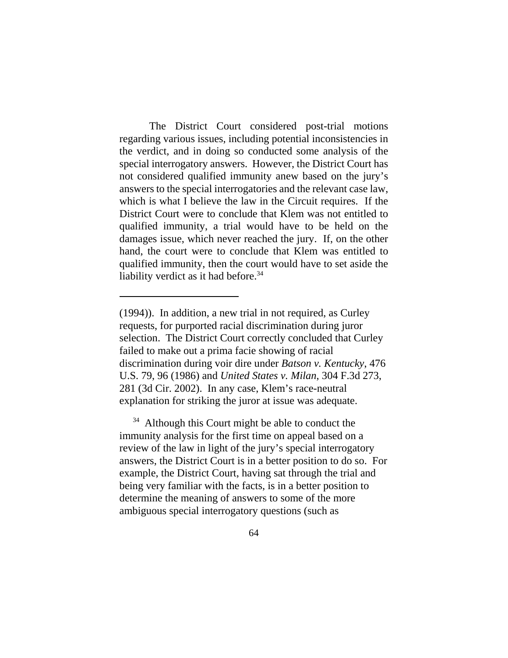The District Court considered post-trial motions regarding various issues, including potential inconsistencies in the verdict, and in doing so conducted some analysis of the special interrogatory answers. However, the District Court has not considered qualified immunity anew based on the jury's answers to the special interrogatories and the relevant case law, which is what I believe the law in the Circuit requires. If the District Court were to conclude that Klem was not entitled to qualified immunity, a trial would have to be held on the damages issue, which never reached the jury. If, on the other hand, the court were to conclude that Klem was entitled to qualified immunity, then the court would have to set aside the liability verdict as it had before.<sup>34</sup>

 $34$  Although this Court might be able to conduct the immunity analysis for the first time on appeal based on a review of the law in light of the jury's special interrogatory answers, the District Court is in a better position to do so. For example, the District Court, having sat through the trial and being very familiar with the facts, is in a better position to determine the meaning of answers to some of the more ambiguous special interrogatory questions (such as

<sup>(1994)).</sup> In addition, a new trial in not required, as Curley requests, for purported racial discrimination during juror selection. The District Court correctly concluded that Curley failed to make out a prima facie showing of racial discrimination during voir dire under *Batson v. Kentucky*, 476 U.S. 79, 96 (1986) and *United States v. Milan*, 304 F.3d 273, 281 (3d Cir. 2002). In any case, Klem's race-neutral explanation for striking the juror at issue was adequate.